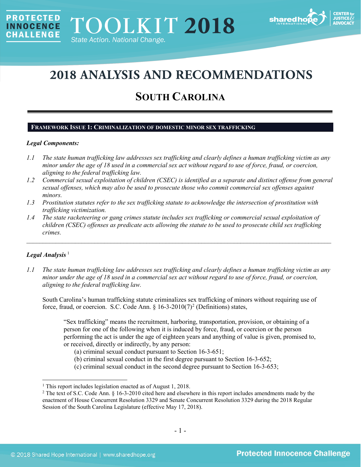

# **2018 ANALYSIS AND RECOMMENDATIONS**

## **SOUTH CAROLINA**

## **FRAMEWORK ISSUE 1: CRIMINALIZATION OF DOMESTIC MINOR SEX TRAFFICKING**

### *Legal Components:*

**PROTECTED** 

**INNOCENCE CHALLENGE** 

- *1.1 The state human trafficking law addresses sex trafficking and clearly defines a human trafficking victim as any minor under the age of 18 used in a commercial sex act without regard to use of force, fraud, or coercion, aligning to the federal trafficking law.*
- *1.2 Commercial sexual exploitation of children (CSEC) is identified as a separate and distinct offense from general sexual offenses, which may also be used to prosecute those who commit commercial sex offenses against minors.*
- *1.3 Prostitution statutes refer to the sex trafficking statute to acknowledge the intersection of prostitution with trafficking victimization.*
- *1.4 The state racketeering or gang crimes statute includes sex trafficking or commercial sexual exploitation of children (CSEC) offenses as predicate acts allowing the statute to be used to prosecute child sex trafficking crimes.*

\_\_\_\_\_\_\_\_\_\_\_\_\_\_\_\_\_\_\_\_\_\_\_\_\_\_\_\_\_\_\_\_\_\_\_\_\_\_\_\_\_\_\_\_\_\_\_\_\_\_\_\_\_\_\_\_\_\_\_\_\_\_\_\_\_\_\_\_\_\_\_\_\_\_\_\_\_\_\_\_\_\_\_\_\_\_\_\_\_\_\_\_\_\_

## Legal Analysis<sup>[1](#page-0-0)</sup>

 $\overline{\phantom{a}}$ 

*1.1 The state human trafficking law addresses sex trafficking and clearly defines a human trafficking victim as any minor under the age of 18 used in a commercial sex act without regard to use of force, fraud, or coercion, aligning to the federal trafficking law.*

South Carolina's human trafficking statute criminalizes sex trafficking of minors without requiring use of force, fraud, or coercion. S.C. Code Ann.  $\S$  16-3-[2](#page-0-1)010(7)<sup>2</sup> (Definitions) states,

"Sex trafficking" means the recruitment, harboring, transportation, provision, or obtaining of a person for one of the following when it is induced by force, fraud, or coercion or the person performing the act is under the age of eighteen years and anything of value is given, promised to, or received, directly or indirectly, by any person:

- <span id="page-0-2"></span>(a) criminal sexual conduct pursuant to Section 16-3-651;
- (b) criminal sexual conduct in the first degree pursuant to Section 16-3-652;
- (c) criminal sexual conduct in the second degree pursuant to Section 16-3-653;

<span id="page-0-0"></span><sup>&</sup>lt;sup>1</sup> This report includes legislation enacted as of August 1, 2018.

<span id="page-0-1"></span><sup>&</sup>lt;sup>2</sup> The text of S.C. Code Ann. § 16-3-2010 cited here and elsewhere in this report includes amendments made by the enactment of House Concurrent Resolution 3329 and Senate Concurrent Resolution 3329 during the 2018 Regular Session of the South Carolina Legislature (effective May 17, 2018).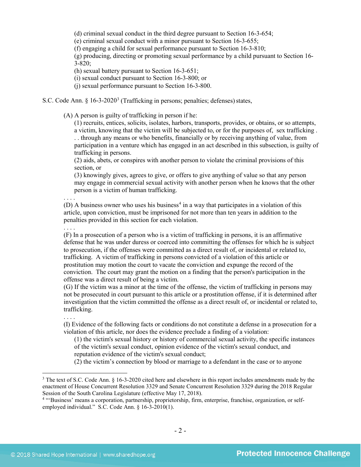(d) criminal sexual conduct in the third degree pursuant to Section 16-3-654;

(e) criminal sexual conduct with a minor pursuant to Section 16-3-655;

(f) engaging a child for sexual performance pursuant to Section 16-3-810;

(g) producing, directing or promoting sexual performance by a child pursuant to Section 16-  $3 - 820$ ;

(h) sexual battery pursuant to Section 16-3-651;

(i) sexual conduct pursuant to Section 16-3-800; or

<span id="page-1-2"></span>(j) sexual performance pursuant to Section 16-3-800.

S.C. Code Ann.  $\S$  16-[3](#page-1-0)-2020<sup>3</sup> (Trafficking in persons; penalties; defenses) states,

(A) A person is guilty of trafficking in person if he:

(1) recruits, entices, solicits, isolates, harbors, transports, provides, or obtains, or so attempts, a victim, knowing that the victim will be subjected to, or for the purposes of, sex trafficking . . . through any means or who benefits, financially or by receiving anything of value, from participation in a venture which has engaged in an act described in this subsection, is guilty of trafficking in persons.

(2) aids, abets, or conspires with another person to violate the criminal provisions of this section, or

(3) knowingly gives, agrees to give, or offers to give anything of value so that any person may engage in commercial sexual activity with another person when he knows that the other person is a victim of human trafficking.

. . . . (D) A business owner who uses his business<sup>[4](#page-1-1)</sup> in a way that participates in a violation of this article, upon conviction, must be imprisoned for not more than ten years in addition to the penalties provided in this section for each violation.

(F) In a prosecution of a person who is a victim of trafficking in persons, it is an affirmative defense that he was under duress or coerced into committing the offenses for which he is subject to prosecution, if the offenses were committed as a direct result of, or incidental or related to, trafficking. A victim of trafficking in persons convicted of a violation of this article or prostitution may motion the court to vacate the conviction and expunge the record of the conviction. The court may grant the motion on a finding that the person's participation in the offense was a direct result of being a victim.

(G) If the victim was a minor at the time of the offense, the victim of trafficking in persons may not be prosecuted in court pursuant to this article or a prostitution offense, if it is determined after investigation that the victim committed the offense as a direct result of, or incidental or related to, trafficking.

. . . .

l

. . . .

(I) Evidence of the following facts or conditions do not constitute a defense in a prosecution for a violation of this article, nor does the evidence preclude a finding of a violation:

(1) the victim's sexual history or history of commercial sexual activity, the specific instances of the victim's sexual conduct, opinion evidence of the victim's sexual conduct, and reputation evidence of the victim's sexual conduct;

(2) the victim's connection by blood or marriage to a defendant in the case or to anyone

<span id="page-1-0"></span><sup>&</sup>lt;sup>3</sup> The text of S.C. Code Ann. § 16-3-2020 cited here and elsewhere in this report includes amendments made by the enactment of House Concurrent Resolution 3329 and Senate Concurrent Resolution 3329 during the 2018 Regular Session of the South Carolina Legislature (effective May 17, 2018).

<span id="page-1-1"></span><sup>&</sup>lt;sup>4</sup> "Business' means a corporation, partnership, proprietorship, firm, enterprise, franchise, organization, or selfemployed individual." S.C. Code Ann. § 16-3-2010(1).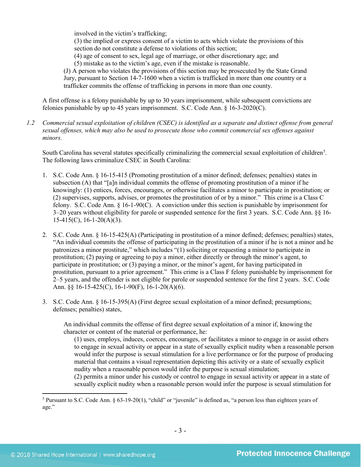involved in the victim's trafficking;

(3) the implied or express consent of a victim to acts which violate the provisions of this section do not constitute a defense to violations of this section;

(4) age of consent to sex, legal age of marriage, or other discretionary age; and

(5) mistake as to the victim's age, even if the mistake is reasonable.

(J) A person who violates the provisions of this section may be prosecuted by the State Grand Jury, pursuant to Section 14-7-1600 when a victim is trafficked in more than one country or a trafficker commits the offense of trafficking in persons in more than one county.

A first offense is a felony punishable by up to 30 years imprisonment, while subsequent convictions are felonies punishable by up to 45 years imprisonment. S.C. Code Ann. § 16-3-2020(C).

*1.2 Commercial sexual exploitation of children (CSEC) is identified as a separate and distinct offense from general sexual offenses, which may also be used to prosecute those who commit commercial sex offenses against minors.*

South Carolina has several statutes specifically criminalizing the commercial sexual exploitation of children<sup>5</sup>. The following laws criminalize CSEC in South Carolina:

- 1. S.C. Code Ann. § 16-15-415 (Promoting prostitution of a minor defined; defenses; penalties) states in subsection (A) that "[a]n individual commits the offense of promoting prostitution of a minor if he knowingly: (1) entices, forces, encourages, or otherwise facilitates a minor to participate in prostitution; or (2) supervises, supports, advises, or promotes the prostitution of or by a minor." This crime is a Class C felony. S.C. Code Ann. § 16-1-90(C). A conviction under this section is punishable by imprisonment for 3–20 years without eligibility for parole or suspended sentence for the first 3 years. S.C. Code Ann. §§ 16-  $15-415(C)$ ,  $16-1-20(A)(3)$ .
- 2. S.C. Code Ann. § 16-15-425(A) (Participating in prostitution of a minor defined; defenses; penalties) states, "An individual commits the offense of participating in the prostitution of a minor if he is not a minor and he patronizes a minor prostitute," which includes "(1) soliciting or requesting a minor to participate in prostitution; (2) paying or agreeing to pay a minor, either directly or through the minor's agent, to participate in prostitution; or (3) paying a minor, or the minor's agent, for having participated in prostitution, pursuant to a prior agreement." This crime is a Class F felony punishable by imprisonment for 2–5 years, and the offender is not eligible for parole or suspended sentence for the first 2 years. S.C. Code Ann. §§ 16-15-425(C), 16-1-90(F), 16-1-20(A)(6).
- 3. S.C. Code Ann. § 16-15-395(A) (First degree sexual exploitation of a minor defined; presumptions; defenses; penalties) states,

An individual commits the offense of first degree sexual exploitation of a minor if, knowing the character or content of the material or performance, he:

(1) uses, employs, induces, coerces, encourages, or facilitates a minor to engage in or assist others to engage in sexual activity or appear in a state of sexually explicit nudity when a reasonable person would infer the purpose is sexual stimulation for a live performance or for the purpose of producing material that contains a visual representation depicting this activity or a state of sexually explicit nudity when a reasonable person would infer the purpose is sexual stimulation;

(2) permits a minor under his custody or control to engage in sexual activity or appear in a state of sexually explicit nudity when a reasonable person would infer the purpose is sexual stimulation for

l

<span id="page-2-0"></span><sup>5</sup> Pursuant to S.C. Code Ann. § 63-19-20(1), "child" or "juvenile" is defined as, "a person less than eighteen years of age."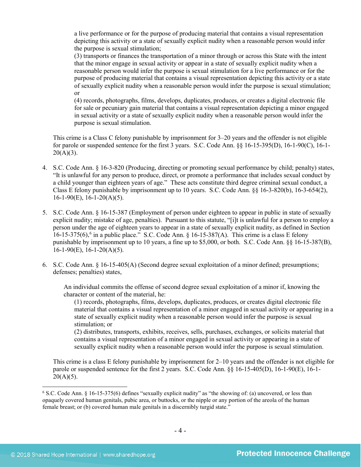a live performance or for the purpose of producing material that contains a visual representation depicting this activity or a state of sexually explicit nudity when a reasonable person would infer the purpose is sexual stimulation;

(3) transports or finances the transportation of a minor through or across this State with the intent that the minor engage in sexual activity or appear in a state of sexually explicit nudity when a reasonable person would infer the purpose is sexual stimulation for a live performance or for the purpose of producing material that contains a visual representation depicting this activity or a state of sexually explicit nudity when a reasonable person would infer the purpose is sexual stimulation; or

(4) records, photographs, films, develops, duplicates, produces, or creates a digital electronic file for sale or pecuniary gain material that contains a visual representation depicting a minor engaged in sexual activity or a state of sexually explicit nudity when a reasonable person would infer the purpose is sexual stimulation.

This crime is a Class C felony punishable by imprisonment for 3–20 years and the offender is not eligible for parole or suspended sentence for the first 3 years. S.C. Code Ann. §§ 16-15-395(D), 16-1-90(C), 16-1-  $20(A)(3)$ .

- 4. S.C. Code Ann. § 16-3-820 (Producing, directing or promoting sexual performance by child; penalty) states, "It is unlawful for any person to produce, direct, or promote a performance that includes sexual conduct by a child younger than eighteen years of age." These acts constitute third degree criminal sexual conduct, a Class E felony punishable by imprisonment up to 10 years. S.C. Code Ann. §§ 16-3-820(b), 16-3-654(2),  $16-1-90(E)$ ,  $16-1-20(A)(5)$ .
- 5. S.C. Code Ann. § 16-15-387 (Employment of person under eighteen to appear in public in state of sexually explicit nudity; mistake of age, penalties). Pursuant to this statute, "[i]t is unlawful for a person to employ a person under the age of eighteen years to appear in a state of sexually explicit nudity, as defined in Section  $16$  $16$ -15-375(6),<sup>6</sup> in a public place." S.C. Code Ann. § 16-15-387(A). This crime is a class E felony punishable by imprisonment up to 10 years, a fine up to \$5,000, or both. S.C. Code Ann. §§ 16-15-387(B),  $16-1-90(E)$ ,  $16-1-20(A)(5)$ .
- 6. S.C. Code Ann. § 16-15-405(A) (Second degree sexual exploitation of a minor defined; presumptions; defenses; penalties) states,

An individual commits the offense of second degree sexual exploitation of a minor if, knowing the character or content of the material, he:

(1) records, photographs, films, develops, duplicates, produces, or creates digital electronic file material that contains a visual representation of a minor engaged in sexual activity or appearing in a state of sexually explicit nudity when a reasonable person would infer the purpose is sexual stimulation; or

(2) distributes, transports, exhibits, receives, sells, purchases, exchanges, or solicits material that contains a visual representation of a minor engaged in sexual activity or appearing in a state of sexually explicit nudity when a reasonable person would infer the purpose is sexual stimulation.

This crime is a class E felony punishable by imprisonment for 2–10 years and the offender is not eligible for parole or suspended sentence for the first 2 years. S.C. Code Ann. §§ 16-15-405(D), 16-1-90(E), 16-1-  $20(A)(5)$ .

<span id="page-3-0"></span><sup>6</sup> S.C. Code Ann. § 16-15-375(6) defines "sexually explicit nudity" as "the showing of: (a) uncovered, or less than opaquely covered human genitals, pubic area, or buttocks, or the nipple or any portion of the areola of the human female breast; or (b) covered human male genitals in a discernibly turgid state."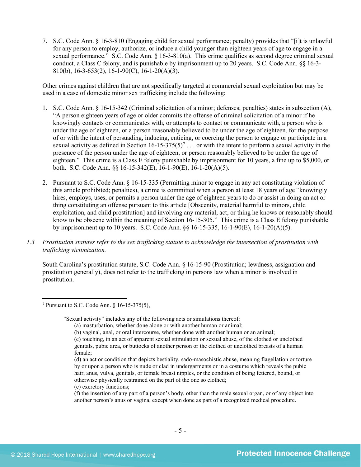7. S.C. Code Ann. § 16-3-810 (Engaging child for sexual performance; penalty) provides that "[i]t is unlawful for any person to employ, authorize, or induce a child younger than eighteen years of age to engage in a sexual performance." S.C. Code Ann. § 16-3-810(a). This crime qualifies as second degree criminal sexual conduct, a Class C felony, and is punishable by imprisonment up to 20 years. S.C. Code Ann. §§ 16-3- 810(b), 16-3-653(2), 16-1-90(C), 16-1-20(A)(3).

Other crimes against children that are not specifically targeted at commercial sexual exploitation but may be used in a case of domestic minor sex trafficking include the following:

- 1. S.C. Code Ann. § 16-15-342 (Criminal solicitation of a minor; defenses; penalties) states in subsection (A), "A person eighteen years of age or older commits the offense of criminal solicitation of a minor if he knowingly contacts or communicates with, or attempts to contact or communicate with, a person who is under the age of eighteen, or a person reasonably believed to be under the age of eighteen, for the purpose of or with the intent of persuading, inducing, enticing, or coercing the person to engage or participate in a sexual activity as defined in Section  $16-15-375(5)^7$  $16-15-375(5)^7$  $16-15-375(5)^7$ ... or with the intent to perform a sexual activity in the presence of the person under the age of eighteen, or person reasonably believed to be under the age of eighteen." This crime is a Class E felony punishable by imprisonment for 10 years, a fine up to \$5,000, or both. S.C. Code Ann. §§ 16-15-342(E), 16-1-90(E), 16-1-20(A)(5).
- 2. Pursuant to S.C. Code Ann. § 16-15-335 (Permitting minor to engage in any act constituting violation of this article prohibited; penalties), a crime is committed when a person at least 18 years of age "knowingly hires, employs, uses, or permits a person under the age of eighteen years to do or assist in doing an act or thing constituting an offense pursuant to this article [Obscenity, material harmful to minors, child exploitation, and child prostitution] and involving any material, act, or thing he knows or reasonably should know to be obscene within the meaning of Section 16-15-305." This crime is a Class E felony punishable by imprisonment up to 10 years. S.C. Code Ann. §§ 16-15-335, 16-1-90(E), 16-1-20(A)(5).
- *1.3 Prostitution statutes refer to the sex trafficking statute to acknowledge the intersection of prostitution with trafficking victimization.*

South Carolina's prostitution statute, S.C. Code Ann. § 16-15-90 (Prostitution; lewdness, assignation and prostitution generally), does not refer to the trafficking in persons law when a minor is involved in prostitution.

- (d) an act or condition that depicts bestiality, sado-masochistic abuse, meaning flagellation or torture by or upon a person who is nude or clad in undergarments or in a costume which reveals the pubic hair, anus, vulva, genitals, or female breast nipples, or the condition of being fettered, bound, or otherwise physically restrained on the part of the one so clothed;
- (e) excretory functions;

<span id="page-4-0"></span><sup>7</sup> Pursuant to S.C. Code Ann. § 16-15-375(5),

<sup>&</sup>quot;Sexual activity" includes any of the following acts or simulations thereof:

<sup>(</sup>a) masturbation, whether done alone or with another human or animal;

<sup>(</sup>b) vaginal, anal, or oral intercourse, whether done with another human or an animal;

<sup>(</sup>c) touching, in an act of apparent sexual stimulation or sexual abuse, of the clothed or unclothed genitals, pubic area, or buttocks of another person or the clothed or unclothed breasts of a human female;

<sup>(</sup>f) the insertion of any part of a person's body, other than the male sexual organ, or of any object into another person's anus or vagina, except when done as part of a recognized medical procedure.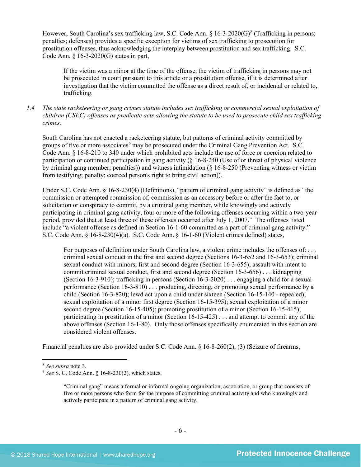However, South Carolina's sex trafficking law, S.C. Code Ann.  $\S$  16-3-2020(G)<sup>[8](#page-5-0)</sup> (Trafficking in persons; penalties; defenses) provides a specific exception for victims of sex trafficking to prosecution for prostitution offenses, thus acknowledging the interplay between prostitution and sex trafficking. S.C. Code Ann. § 16-3-2020(G) states in part,

If the victim was a minor at the time of the offense, the victim of trafficking in persons may not be prosecuted in court pursuant to this article or a prostitution offense, if it is determined after investigation that the victim committed the offense as a direct result of, or incidental or related to, trafficking.

*1.4 The state racketeering or gang crimes statute includes sex trafficking or commercial sexual exploitation of children (CSEC) offenses as predicate acts allowing the statute to be used to prosecute child sex trafficking crimes.* 

South Carolina has not enacted a racketeering statute, but patterns of criminal activity committed by groups of five or more associates<sup>[9](#page-5-1)</sup> may be prosecuted under the Criminal Gang Prevention Act. S.C. Code Ann. § 16-8-210 to 340 under which prohibited acts include the use of force or coercion related to participation or continued participation in gang activity (§ 16-8-240 (Use of or threat of physical violence by criminal gang member; penalties)) and witness intimidation (§ 16-8-250 (Preventing witness or victim from testifying; penalty; coerced person's right to bring civil action)).

Under S.C. Code Ann. § 16-8-230(4) (Definitions), "pattern of criminal gang activity" is defined as "the commission or attempted commission of, commission as an accessory before or after the fact to, or solicitation or conspiracy to commit, by a criminal gang member, while knowingly and actively participating in criminal gang activity, four or more of the following offenses occurring within a two-year period, provided that at least three of these offenses occurred after July 1, 2007." The offenses listed include "a violent offense as defined in Section 16-1-60 committed as a part of criminal gang activity." S.C. Code Ann. § 16-8-230(4)(a). S.C. Code Ann. § 16-1-60 (Violent crimes defined) states,

For purposes of definition under South Carolina law, a violent crime includes the offenses of: ... criminal sexual conduct in the first and second degree (Sections 16-3-652 and 16-3-653); criminal sexual conduct with minors, first and second degree (Section 16-3-655); assault with intent to commit criminal sexual conduct, first and second degree (Section 16-3-656) . . . kidnapping (Section 16-3-910); trafficking in persons (Section 16-3-2020) . . . engaging a child for a sexual performance (Section 16-3-810) . . . producing, directing, or promoting sexual performance by a child (Section 16-3-820); lewd act upon a child under sixteen (Section 16-15-140 - repealed); sexual exploitation of a minor first degree (Section 16-15-395); sexual exploitation of a minor second degree (Section 16-15-405); promoting prostitution of a minor (Section 16-15-415); participating in prostitution of a minor (Section 16-15-425) . . . and attempt to commit any of the above offenses (Section 16-1-80). Only those offenses specifically enumerated in this section are considered violent offenses.

Financial penalties are also provided under S.C. Code Ann. § 16-8-260(2), (3) (Seizure of firearms,

<span id="page-5-1"></span><span id="page-5-0"></span>

<sup>&</sup>lt;sup>8</sup> *See supra* note [3.](#page-1-2)<br><sup>9</sup> *See* S. C. Code Ann. § 16-8-230(2), which states,

<sup>&</sup>quot;Criminal gang" means a formal or informal ongoing organization, association, or group that consists of five or more persons who form for the purpose of committing criminal activity and who knowingly and actively participate in a pattern of criminal gang activity.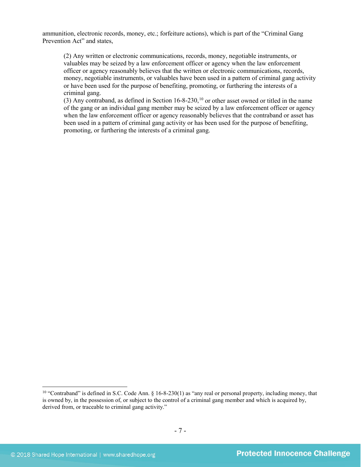ammunition, electronic records, money, etc.; forfeiture actions), which is part of the "Criminal Gang Prevention Act" and states,

(2) Any written or electronic communications, records, money, negotiable instruments, or valuables may be seized by a law enforcement officer or agency when the law enforcement officer or agency reasonably believes that the written or electronic communications, records, money, negotiable instruments, or valuables have been used in a pattern of criminal gang activity or have been used for the purpose of benefiting, promoting, or furthering the interests of a criminal gang.

(3) Any contraband, as defined in Section  $16$ -8-230,<sup>[10](#page-6-0)</sup> or other asset owned or titled in the name of the gang or an individual gang member may be seized by a law enforcement officer or agency when the law enforcement officer or agency reasonably believes that the contraband or asset has been used in a pattern of criminal gang activity or has been used for the purpose of benefiting, promoting, or furthering the interests of a criminal gang.

<span id="page-6-0"></span><sup>&</sup>lt;sup>10</sup> "Contraband" is defined in S.C. Code Ann. § 16-8-230(1) as "any real or personal property, including money, that is owned by, in the possession of, or subject to the control of a criminal gang member and which is acquired by, derived from, or traceable to criminal gang activity."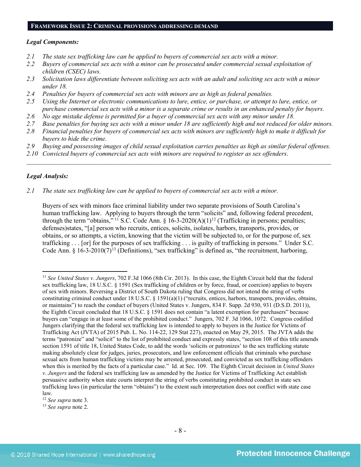## **FRAMEWORK ISSUE 2: CRIMINAL PROVISIONS ADDRESSING DEMAND**

#### *Legal Components:*

- *2.1 The state sex trafficking law can be applied to buyers of commercial sex acts with a minor.*
- *2.2 Buyers of commercial sex acts with a minor can be prosecuted under commercial sexual exploitation of children (CSEC) laws.*
- *2.3 Solicitation laws differentiate between soliciting sex acts with an adult and soliciting sex acts with a minor under 18.*
- *2.4 Penalties for buyers of commercial sex acts with minors are as high as federal penalties.*
- *2.5 Using the Internet or electronic communications to lure, entice, or purchase, or attempt to lure, entice, or purchase commercial sex acts with a minor is a separate crime or results in an enhanced penalty for buyers.*
- *2.6 No age mistake defense is permitted for a buyer of commercial sex acts with any minor under 18.*
- *2.7 Base penalties for buying sex acts with a minor under 18 are sufficiently high and not reduced for older minors.*
- *2.8 Financial penalties for buyers of commercial sex acts with minors are sufficiently high to make it difficult for buyers to hide the crime.*
- *2.9 Buying and possessing images of child sexual exploitation carries penalties as high as similar federal offenses.*

 $\mathcal{L}_\mathcal{L} = \mathcal{L}_\mathcal{L} = \mathcal{L}_\mathcal{L} = \mathcal{L}_\mathcal{L} = \mathcal{L}_\mathcal{L} = \mathcal{L}_\mathcal{L} = \mathcal{L}_\mathcal{L} = \mathcal{L}_\mathcal{L} = \mathcal{L}_\mathcal{L} = \mathcal{L}_\mathcal{L} = \mathcal{L}_\mathcal{L} = \mathcal{L}_\mathcal{L} = \mathcal{L}_\mathcal{L} = \mathcal{L}_\mathcal{L} = \mathcal{L}_\mathcal{L} = \mathcal{L}_\mathcal{L} = \mathcal{L}_\mathcal{L}$ 

*2.10 Convicted buyers of commercial sex acts with minors are required to register as sex offenders*.

## *Legal Analysis:*

l

*2.1 The state sex trafficking law can be applied to buyers of commercial sex acts with a minor.*

Buyers of sex with minors face criminal liability under two separate provisions of South Carolina's human trafficking law. Applying to buyers through the term "solicits" and, following federal precedent, through the term "obtains," <sup>[11](#page-7-0)</sup> S.C. Code Ann. § 16-3-2020(A)(1)<sup>[12](#page-7-1)</sup> (Trafficking in persons; penalties; defenses)states, "[a] person who recruits, entices, solicits, isolates, harbors, transports, provides, or obtains, or so attempts, a victim, knowing that the victim will be subjected to, or for the purpose of, sex trafficking . . . [or] for the purposes of sex trafficking . . . is guilty of trafficking in persons." Under S.C. Code Ann. §  $16-3-2010(7)^{13}$  $16-3-2010(7)^{13}$  $16-3-2010(7)^{13}$  (Definitions), "sex trafficking" is defined as, "the recruitment, harboring,

<span id="page-7-0"></span><sup>11</sup> *See United States v. Jungers*, 702 F.3d 1066 (8th Cir. 2013). In this case, the Eighth Circuit held that the federal sex trafficking law, 18 U.S.C. § 1591 (Sex trafficking of children or by force, fraud, or coercion) applies to buyers of sex with minors. Reversing a District of South Dakota ruling that Congress did not intend the string of verbs constituting criminal conduct under 18 U.S.C. § 1591(a)(1) ("recruits, entices, harbors, transports, provides, obtains, or maintains") to reach the conduct of buyers (United States v. Jungers, 834 F. Supp. 2d 930, 931 (D.S.D. 2011)), the Eighth Circuit concluded that 18 U.S.C. § 1591 does not contain "a latent exemption for purchasers" because buyers can "engage in at least some of the prohibited conduct." Jungers, 702 F. 3d 1066, 1072. Congress codified Jungers clarifying that the federal sex trafficking law is intended to apply to buyers in the Justice for Victims of Trafficking Act (JVTA) of 2015 Pub. L. No. 114-22, 129 Stat 227), enacted on May 29, 2015. The JVTA adds the terms "patronize" and "solicit" to the list of prohibited conduct and expressly states, "section 108 of this title amends section 1591 of title 18, United States Code, to add the words 'solicits or patronizes' to the sex trafficking statute making absolutely clear for judges, juries, prosecutors, and law enforcement officials that criminals who purchase sexual acts from human trafficking victims may be arrested, prosecuted, and convicted as sex trafficking offenders when this is merited by the facts of a particular case." Id. at Sec. 109. The Eighth Circuit decision in *United States v. Jungers* and the federal sex trafficking law as amended by the Justice for Victims of Trafficking Act establish persuasive authority when state courts interpret the string of verbs constituting prohibited conduct in state sex trafficking laws (in particular the term "obtains") to the extent such interpretation does not conflict with state case law.

<span id="page-7-1"></span><sup>12</sup> *See supra* note [3.](#page-1-2)

<span id="page-7-2"></span><sup>13</sup> *See supra* note [2.](#page-0-2)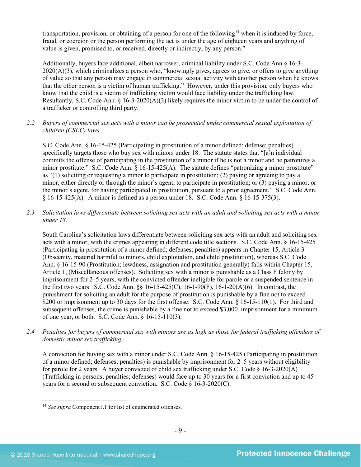transportation, provision, or obtaining of a person for one of the following<sup>[14](#page-8-0)</sup> when it is induced by force, fraud, or coercion or the person performing the act is under the age of eighteen years and anything of value is given, promised to, or received, directly or indirectly, by any person."

Additionally, buyers face additional, albeit narrower, criminal liability under S.C. Code Ann.§ 16-3- 2020(A)(3), which criminalizes a person who, "knowingly gives, agrees to give, or offers to give anything of value so that any person may engage in commercial sexual activity with another person when he knows that the other person is a victim of human trafficking." However, under this provision, only buyers who know that the child is a victim of trafficking victim would face liability under the trafficking law. Resultantly, S.C. Code Ann. § 16-3-2020(A)(3) likely requires the minor victim to be under the control of a trafficker or controlling third party.

*2.2 Buyers of commercial sex acts with a minor can be prosecuted under commercial sexual exploitation of children (CSEC) laws.*

S.C. Code Ann. § 16-15-425 (Participating in prostitution of a minor defined; defense; penalties) specifically targets those who buy sex with minors under 18. The statute states that "[a]n individual commits the offense of participating in the prostitution of a minor if he is not a minor and he patronizes a minor prostitute." S.C. Code Ann. § 16-15-425(A). The statute defines "patronizing a minor prostitute" as "(1) soliciting or requesting a minor to participate in prostitution; (2) paying or agreeing to pay a minor, either directly or through the minor's agent, to participate in prostitution; or (3) paying a minor, or the minor's agent, for having participated in prostitution, pursuant to a prior agreement." S.C. Code Ann. § 16-15-425(A). A minor is defined as a person under 18. S.C. Code Ann. § 16-15-375(3).

*2.3 Solicitation laws differentiate between soliciting sex acts with an adult and soliciting sex acts with a minor under 18.*

South Carolina's solicitation laws differentiate between soliciting sex acts with an adult and soliciting sex acts with a minor, with the crimes appearing in different code title sections. S.C. Code Ann. § 16-15-425 (Participating in prostitution of a minor defined; defenses; penalties) appears in Chapter 15, Article 3 (Obscenity, material harmful to minors, child exploitation, and child prostitution), whereas S.C. Code Ann. § 16-15-90 (Prostitution; lewdness, assignation and prostitution generally) falls within Chapter 15, Article 1, (Miscellaneous offenses). Soliciting sex with a minor is punishable as a Class F felony by imprisonment for 2–5 years, with the convicted offender ineligible for parole or a suspended sentence in the first two years. S.C. Code Ann. §§ 16-15-425(C), 16-1-90(F), 16-1-20(A)(6). In contrast, the punishment for soliciting an adult for the purpose of prostitution is punishable by a fine not to exceed \$200 or imprisonment up to 30 days for the first offense. S.C. Code Ann. § 16-15-110(1). For third and subsequent offenses, the crime is punishable by a fine not to exceed \$3,000, imprisonment for a minimum of one year, or both. S.C. Code Ann. § 16-15-110(3).

*2.4 Penalties for buyers of commercial sex with minors are as high as those for federal trafficking offenders of domestic minor sex trafficking.*

A conviction for buying sex with a minor under S.C. Code Ann. § 16-15-425 (Participating in prostitution of a minor defined; defenses; penalties) is punishable by imprisonment for 2–5 years without eligibility for parole for 2 years. A buyer convicted of child sex trafficking under S.C. Code  $\S$  16-3-2020(A) (Trafficking in persons; penalties; defenses) would face up to 30 years for a first conviction and up to 45 years for a second or subsequent conviction. S.C. Code § 16-3-2020(C).

<span id="page-8-0"></span> $\overline{\phantom{a}}$ <sup>14</sup> See supra Component1.1 for list of enumerated offenses.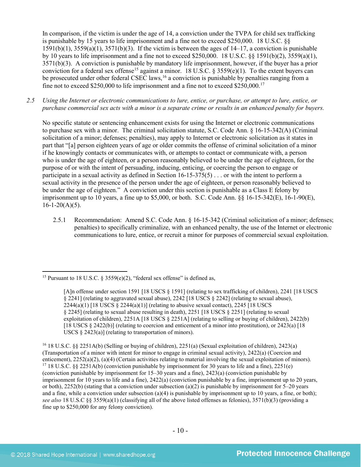<span id="page-9-3"></span>In comparison, if the victim is under the age of 14, a conviction under the TVPA for child sex trafficking is punishable by 15 years to life imprisonment and a fine not to exceed \$250,000. 18 U.S.C. §§  $1591(b)(1)$ ,  $3559(a)(1)$ ,  $3571(b)(3)$ . If the victim is between the ages of  $14-17$ , a conviction is punishable by 10 years to life imprisonment and a fine not to exceed \$250,000. 18 U.S.C. §§ 1591(b)(2), 3559(a)(1), 3571(b)(3). A conviction is punishable by mandatory life imprisonment, however, if the buyer has a prior conviction for a federal sex offense<sup>[15](#page-9-0)</sup> against a minor. 18 U.S.C. § 3559(e)(1). To the extent buyers can be prosecuted under other federal CSEC laws,<sup>[16](#page-9-1)</sup> a conviction is punishable by penalties ranging from a fine not to exceed \$250,000 to life imprisonment and a fine not to exceed \$250,000.[17](#page-9-2) 

*2.5 Using the Internet or electronic communications to lure, entice, or purchase, or attempt to lure, entice, or purchase commercial sex acts with a minor is a separate crime or results in an enhanced penalty for buyers.*

No specific statute or sentencing enhancement exists for using the Internet or electronic communications to purchase sex with a minor. The criminal solicitation statute, S.C. Code Ann. § 16-15-342(A) (Criminal solicitation of a minor; defenses; penalties), may apply to Internet or electronic solicitation as it states in part that "[a] person eighteen years of age or older commits the offense of criminal solicitation of a minor if he knowingly contacts or communicates with, or attempts to contact or communicate with, a person who is under the age of eighteen, or a person reasonably believed to be under the age of eighteen, for the purpose of or with the intent of persuading, inducing, enticing, or coercing the person to engage or participate in a sexual activity as defined in Section 16-15-375(5) . . . or with the intent to perform a sexual activity in the presence of the person under the age of eighteen, or person reasonably believed to be under the age of eighteen." A conviction under this section is punishable as a Class E felony by imprisonment up to 10 years, a fine up to \$5,000, or both. S.C. Code Ann. §§ 16-15-342(E), 16-1-90(E),  $16-1-20(A)(5)$ .

2.5.1 Recommendation: Amend S.C. Code Ann. § 16-15-342 (Criminal solicitation of a minor; defenses; penalties) to specifically criminalize, with an enhanced penalty, the use of the Internet or electronic communications to lure, entice, or recruit a minor for purposes of commercial sexual exploitation.

<span id="page-9-0"></span>l <sup>15</sup> Pursuant to 18 U.S.C. § 3559(e)(2), "federal sex offense" is defined as,

<sup>[</sup>A]n offense under section 1591 [18 USCS § 1591] (relating to sex trafficking of children), 2241 [18 USCS § 2241] (relating to aggravated sexual abuse), 2242 [18 USCS § 2242] (relating to sexual abuse),  $2244(a)(1)$  [18 USCS §  $2244(a)(1)$ ] (relating to abusive sexual contact), 2245 [18 USCS § 2245] (relating to sexual abuse resulting in death), 2251 [18 USCS § 2251] (relating to sexual exploitation of children), 2251A [18 USCS § 2251A] (relating to selling or buying of children), 2422(b) [18 USCS § 2422(b)] (relating to coercion and enticement of a minor into prostitution), or 2423(a) [18 USCS  $\S$  2423(a)] (relating to transportation of minors).

<span id="page-9-2"></span><span id="page-9-1"></span><sup>16</sup> 18 U.S.C. §§ 2251A(b) (Selling or buying of children), 2251(a) (Sexual exploitation of children), 2423(a) (Transportation of a minor with intent for minor to engage in criminal sexual activity),  $2422(a)$  (Coercion and enticement),  $2252(a)(2)$ ,  $(a)(4)$  (Certain activities relating to material involving the sexual exploitation of <sup>17</sup> 18 U.S.C. §§ 2251A(b) (conviction punishable by imprisonment for 30 years to life and a fine), 2251(e) (conviction punishable by imprisonment for 15–30 years and a fine), 2423(a) (conviction punishable by imprisonment for 10 years to life and a fine), 2422(a) (conviction punishable by a fine, imprisonment up to 20 years, or both),  $2252(b)$  (stating that a conviction under subsection (a)(2) is punishable by imprisonment for 5–20 years and a fine, while a conviction under subsection (a)(4) is punishable by imprisonment up to 10 years, a fine, or both); *see also* 18 U.S.C §§ 3559(a)(1) (classifying all of the above listed offenses as felonies), 3571(b)(3) (providing a fine up to \$250,000 for any felony conviction).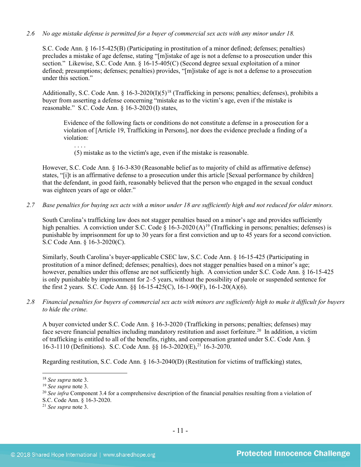## *2.6 No age mistake defense is permitted for a buyer of commercial sex acts with any minor under 18.*

S.C. Code Ann. § 16-15-425(B) (Participating in prostitution of a minor defined; defenses; penalties) precludes a mistake of age defense, stating "[m]istake of age is not a defense to a prosecution under this section." Likewise, S.C. Code Ann. § 16-15-405(C) (Second degree sexual exploitation of a minor defined; presumptions; defenses; penalties) provides, "[m]istake of age is not a defense to a prosecution under this section."

Additionally, S.C. Code Ann. § 16-3-2020(I)(5)<sup>[18](#page-10-0)</sup> (Trafficking in persons; penalties; defenses), prohibits a buyer from asserting a defense concerning "mistake as to the victim's age, even if the mistake is reasonable." S.C. Code Ann. § 16-3-2020 (I) states,

Evidence of the following facts or conditions do not constitute a defense in a prosecution for a violation of [Article 19, Trafficking in Persons], nor does the evidence preclude a finding of a violation:

(5) mistake as to the victim's age, even if the mistake is reasonable.

However, S.C. Code Ann. § 16-3-830 (Reasonable belief as to majority of child as affirmative defense) states, "[i]t is an affirmative defense to a prosecution under this article [Sexual performance by children] that the defendant, in good faith, reasonably believed that the person who engaged in the sexual conduct was eighteen years of age or older."

*2.7 Base penalties for buying sex acts with a minor under 18 are sufficiently high and not reduced for older minors.*

South Carolina's trafficking law does not stagger penalties based on a minor's age and provides sufficiently high penalties. A conviction under S.C. Code  $\S$  16-3-2020 (A)<sup>[19](#page-10-1)</sup> (Trafficking in persons; penalties; defenses) is punishable by imprisonment for up to 30 years for a first conviction and up to 45 years for a second conviction. S.C Code Ann. § 16-3-2020(C).

Similarly, South Carolina's buyer-applicable CSEC law, S.C. Code Ann. § 16-15-425 (Participating in prostitution of a minor defined; defenses; penalties), does not stagger penalties based on a minor's age; however, penalties under this offense are not sufficiently high. A conviction under S.C. Code Ann. § 16-15-425 is only punishable by imprisonment for 2–5 years, without the possibility of parole or suspended sentence for the first 2 years. S.C. Code Ann. §§ 16-15-425(C), 16-1-90(F), 16-1-20(A)(6).

*2.8 Financial penalties for buyers of commercial sex acts with minors are sufficiently high to make it difficult for buyers to hide the crime.*

A buyer convicted under S.C. Code Ann. § 16-3-2020 (Trafficking in persons; penalties; defenses) may face severe financial penalties including mandatory restitution and asset forfeiture.<sup>20</sup> In addition, a victim of trafficking is entitled to all of the benefits, rights, and compensation granted under S.C. Code Ann. § 16-3-1110 (Definitions). S.C. Code Ann. §§ 16-3-2020(E),[21](#page-10-3) 16-3-2070.

Regarding restitution, S.C. Code Ann. § 16-3-2040(D) (Restitution for victims of trafficking) states,

l

<span id="page-10-2"></span>S.C. Code Ann. § 16-3-2020.

<span id="page-10-1"></span><span id="page-10-0"></span><sup>&</sup>lt;sup>18</sup> *See supra* note [3.](#page-1-2)<br><sup>19</sup> *See supra* note 3.<br><sup>20</sup> *See infra* Component 3.4 for a comprehensive description of the financial penalties resulting from a violation of

<span id="page-10-3"></span><sup>21</sup> *See supra* note [3.](#page-1-2)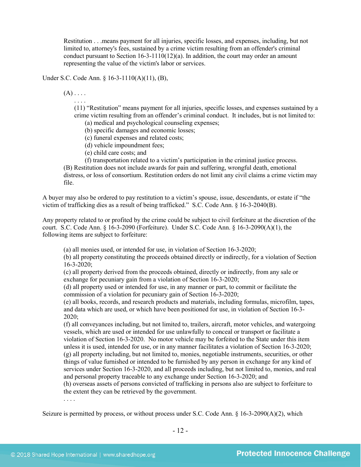Restitution . . .means payment for all injuries, specific losses, and expenses, including, but not limited to, attorney's fees, sustained by a crime victim resulting from an offender's criminal conduct pursuant to Section 16-3-1110(12)(a). In addition, the court may order an amount representing the value of the victim's labor or services.

Under S.C. Code Ann. § 16-3-1110(A)(11), (B),

 $(A)$ ...

. . . .

(11) "Restitution" means payment for all injuries, specific losses, and expenses sustained by a crime victim resulting from an offender's criminal conduct. It includes, but is not limited to:

(a) medical and psychological counseling expenses;

(b) specific damages and economic losses;

(c) funeral expenses and related costs;

(d) vehicle impoundment fees;

(e) child care costs; and

(f) transportation related to a victim's participation in the criminal justice process.

(B) Restitution does not include awards for pain and suffering, wrongful death, emotional distress, or loss of consortium. Restitution orders do not limit any civil claims a crime victim may file.

A buyer may also be ordered to pay restitution to a victim's spouse, issue, descendants, or estate if "the victim of trafficking dies as a result of being trafficked." S.C. Code Ann. § 16-3-2040(B).

Any property related to or profited by the crime could be subject to civil forfeiture at the discretion of the court. S.C. Code Ann. § 16-3-2090 (Forfeiture). Under S.C. Code Ann. § 16-3-2090(A)(1), the following items are subject to forfeiture:

(a) all monies used, or intended for use, in violation of Section 16-3-2020;

(b) all property constituting the proceeds obtained directly or indirectly, for a violation of Section 16-3-2020;

(c) all property derived from the proceeds obtained, directly or indirectly, from any sale or exchange for pecuniary gain from a violation of Section 16-3-2020;

(d) all property used or intended for use, in any manner or part, to commit or facilitate the commission of a violation for pecuniary gain of Section 16-3-2020;

(e) all books, records, and research products and materials, including formulas, microfilm, tapes, and data which are used, or which have been positioned for use, in violation of Section 16-3- 2020;

(f) all conveyances including, but not limited to, trailers, aircraft, motor vehicles, and watergoing vessels, which are used or intended for use unlawfully to conceal or transport or facilitate a violation of Section 16-3-2020. No motor vehicle may be forfeited to the State under this item unless it is used, intended for use, or in any manner facilitates a violation of Section 16-3-2020; (g) all property including, but not limited to, monies, negotiable instruments, securities, or other things of value furnished or intended to be furnished by any person in exchange for any kind of services under Section 16-3-2020, and all proceeds including, but not limited to, monies, and real and personal property traceable to any exchange under Section 16-3-2020; and

(h) overseas assets of persons convicted of trafficking in persons also are subject to forfeiture to the extent they can be retrieved by the government.

. . . .

Seizure is permitted by process, or without process under S.C. Code Ann. § 16-3-2090(A)(2), which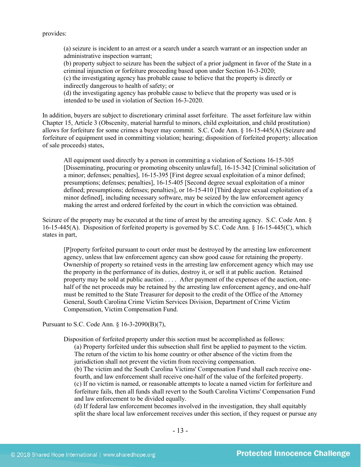provides:

(a) seizure is incident to an arrest or a search under a search warrant or an inspection under an administrative inspection warrant;

(b) property subject to seizure has been the subject of a prior judgment in favor of the State in a criminal injunction or forfeiture proceeding based upon under Section 16-3-2020;

(c) the investigating agency has probable cause to believe that the property is directly or indirectly dangerous to health of safety; or

(d) the investigating agency has probable cause to believe that the property was used or is intended to be used in violation of Section 16-3-2020.

In addition, buyers are subject to discretionary criminal asset forfeiture. The asset forfeiture law within Chapter 15, Article 3 (Obscenity, material harmful to minors, child exploitation, and child prostitution) allows for forfeiture for some crimes a buyer may commit. S.C. Code Ann. § 16-15-445(A) (Seizure and forfeiture of equipment used in committing violation; hearing; disposition of forfeited property; allocation of sale proceeds) states,

All equipment used directly by a person in committing a violation of Sections 16-15-305 [Disseminating, procuring or promoting obscenity unlawful], 16-15-342 [Criminal solicitation of a minor; defenses; penalties], 16-15-395 [First degree sexual exploitation of a minor defined; presumptions; defenses; penalties], 16-15-405 [Second degree sexual exploitation of a minor defined; presumptions; defenses; penalties], or 16-15-410 [Third degree sexual exploitation of a minor defined], including necessary software, may be seized by the law enforcement agency making the arrest and ordered forfeited by the court in which the conviction was obtained.

Seizure of the property may be executed at the time of arrest by the arresting agency. S.C. Code Ann. § 16-15-445(A). Disposition of forfeited property is governed by S.C. Code Ann. § 16-15-445(C), which states in part,

[P]roperty forfeited pursuant to court order must be destroyed by the arresting law enforcement agency, unless that law enforcement agency can show good cause for retaining the property. Ownership of property so retained vests in the arresting law enforcement agency which may use the property in the performance of its duties, destroy it, or sell it at public auction. Retained property may be sold at public auction . . . . After payment of the expenses of the auction, onehalf of the net proceeds may be retained by the arresting law enforcement agency, and one-half must be remitted to the State Treasurer for deposit to the credit of the Office of the Attorney General, South Carolina Crime Victim Services Division, Department of Crime Victim Compensation, Victim Compensation Fund.

Pursuant to S.C. Code Ann. § 16-3-2090(B)(7),

Disposition of forfeited property under this section must be accomplished as follows:

(a) Property forfeited under this subsection shall first be applied to payment to the victim. The return of the victim to his home country or other absence of the victim from the jurisdiction shall not prevent the victim from receiving compensation.

(b) The victim and the South Carolina Victims' Compensation Fund shall each receive onefourth, and law enforcement shall receive one-half of the value of the forfeited property. (c) If no victim is named, or reasonable attempts to locate a named victim for forfeiture and forfeiture fails, then all funds shall revert to the South Carolina Victims' Compensation Fund and law enforcement to be divided equally.

(d) If federal law enforcement becomes involved in the investigation, they shall equitably split the share local law enforcement receives under this section, if they request or pursue any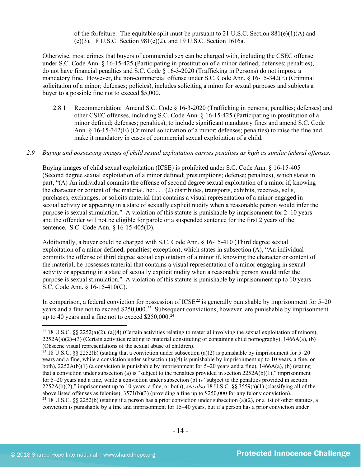of the forfeiture. The equitable split must be pursuant to 21 U.S.C. Section  $881(e)(1)(A)$  and (e)(3), 18 U.S.C. Section 981(e)(2), and 19 U.S.C. Section 1616a.

Otherwise, most crimes that buyers of commercial sex can be charged with, including the CSEC offense under S.C. Code Ann. § 16-15-425 (Participating in prostitution of a minor defined; defenses; penalties), do not have financial penalties and S.C. Code § 16-3-2020 (Trafficking in Persons) do not impose a mandatory fine. However, the non-commercial offense under S.C. Code Ann. § 16-15-342(E) (Criminal solicitation of a minor; defenses; policies), includes soliciting a minor for sexual purposes and subjects a buyer to a possible fine not to exceed \$5,000.

- 2.8.1 Recommendation: Amend S.C. Code § 16-3-2020 (Trafficking in persons; penalties; defenses) and other CSEC offenses, including S.C. Code Ann. § 16-15-425 (Participating in prostitution of a minor defined; defenses; penalties), to include significant mandatory fines and amend S.C. Code Ann. § 16-15-342(E) (Criminal solicitation of a minor; defenses; penalties) to raise the fine and make it mandatory in cases of commercial sexual exploitation of a child.
- *2.9 Buying and possessing images of child sexual exploitation carries penalties as high as similar federal offenses.*

Buying images of child sexual exploitation (ICSE) is prohibited under S.C. Code Ann. § 16-15-405 (Second degree sexual exploitation of a minor defined; presumptions; defense; penalties), which states in part, "(A) An individual commits the offense of second degree sexual exploitation of a minor if, knowing the character or content of the material, he: . . . (2) distributes, transports, exhibits, receives, sells, purchases, exchanges, or solicits material that contains a visual representation of a minor engaged in sexual activity or appearing in a state of sexually explicit nudity when a reasonable person would infer the purpose is sexual stimulation." A violation of this statute is punishable by imprisonment for 2–10 years and the offender will not be eligible for parole or a suspended sentence for the first 2 years of the sentence. S.C. Code Ann. § 16-15-405(D).

Additionally, a buyer could be charged with S.C. Code Ann. § 16-15-410 (Third degree sexual exploitation of a minor defined; penalties; exception), which states in subsection (A), "An individual commits the offense of third degree sexual exploitation of a minor if, knowing the character or content of the material, he possesses material that contains a visual representation of a minor engaging in sexual activity or appearing in a state of sexually explicit nudity when a reasonable person would infer the purpose is sexual stimulation." A violation of this statute is punishable by imprisonment up to 10 years. S.C. Code Ann. § 16-15-410(C).

In comparison, a federal conviction for possession of  $ICSE<sup>22</sup>$  $ICSE<sup>22</sup>$  $ICSE<sup>22</sup>$  is generally punishable by imprisonment for  $5-20$ years and a fine not to exceed \$250,000.<sup>23</sup> Subsequent convictions, however, are punishable by imprisonment up to 40 years and a fine not to exceed  $$250,000.<sup>24</sup>$  $$250,000.<sup>24</sup>$  $$250,000.<sup>24</sup>$ 

<span id="page-13-0"></span><sup>&</sup>lt;sup>22</sup> 18 U.S.C. §§ 2252(a)(2), (a)(4) (Certain activities relating to material involving the sexual exploitation of minors),  $2252A(a)(2)$ –(3) (Certain activities relating to material constituting or containing child pornography), 1466A(a), (b) (Obscene visual representations of the sexual abuse of children).

<span id="page-13-2"></span><span id="page-13-1"></span><sup>&</sup>lt;sup>23</sup> 18 U.S.C. §§ 2252(b) (stating that a conviction under subsection (a)(2) is punishable by imprisonment for 5–20 years and a fine, while a conviction under subsection (a)(4) is punishable by imprisonment up to 10 years, a fine, or both), 2252A(b)(1) (a conviction is punishable by imprisonment for 5–20 years and a fine), 1466A(a), (b) (stating that a conviction under subsection (a) is "subject to the penalties provided in section 2252A(b)(1)," imprisonment for 5–20 years and a fine, while a conviction under subsection (b) is "subject to the penalties provided in section 2252A(b)(2)," imprisonment up to 10 years, a fine, or both); *see also* 18 U.S.C. §§ 3559(a)(1) (classifying all of the above listed offenses as felonies),  $3571(b)(3)$  (providing a fine up to \$250,000 for any felony conviction).<br><sup>24</sup> 18 U.S.C. §§ 2252(b) (stating if a person has a prior conviction under subsection (a)(2), or a list of other conviction is punishable by a fine and imprisonment for 15–40 years, but if a person has a prior conviction under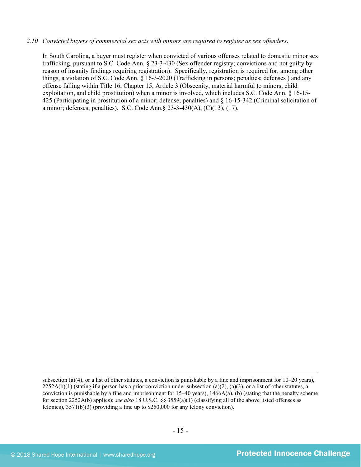#### *2.10 Convicted buyers of commercial sex acts with minors are required to register as sex offenders*.

In South Carolina, a buyer must register when convicted of various offenses related to domestic minor sex trafficking, pursuant to S.C. Code Ann. § 23-3-430 (Sex offender registry; convictions and not guilty by reason of insanity findings requiring registration). Specifically, registration is required for, among other things, a violation of S.C. Code Ann. § 16-3-2020 (Trafficking in persons; penalties; defenses ) and any offense falling within Title 16, Chapter 15, Article 3 (Obscenity, material harmful to minors, child exploitation, and child prostitution) when a minor is involved, which includes S.C. Code Ann. § 16-15- 425 (Participating in prostitution of a minor; defense; penalties) and § 16-15-342 (Criminal solicitation of a minor; defenses; penalties). S.C. Code Ann.§ 23-3-430(A), (C)(13), (17).

l

subsection (a)(4), or a list of other statutes, a conviction is punishable by a fine and imprisonment for  $10-20$  years),  $2252A(b)(1)$  (stating if a person has a prior conviction under subsection (a)(2), (a)(3), or a list of other statutes, a conviction is punishable by a fine and imprisonment for  $15-40$  years),  $1466A(a)$ , (b) (stating that the penalty scheme for section 2252A(b) applies); *see also* 18 U.S.C. §§ 3559(a)(1) (classifying all of the above listed offenses as felonies), 3571(b)(3) (providing a fine up to \$250,000 for any felony conviction).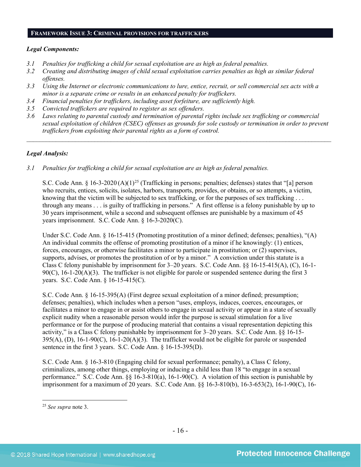#### **FRAMEWORK ISSUE 3: CRIMINAL PROVISIONS FOR TRAFFICKERS**

### *Legal Components:*

- *3.1 Penalties for trafficking a child for sexual exploitation are as high as federal penalties.*
- *3.2 Creating and distributing images of child sexual exploitation carries penalties as high as similar federal offenses.*
- *3.3 Using the Internet or electronic communications to lure, entice, recruit, or sell commercial sex acts with a minor is a separate crime or results in an enhanced penalty for traffickers.*
- *3.4 Financial penalties for traffickers, including asset forfeiture, are sufficiently high.*
- *3.5 Convicted traffickers are required to register as sex offenders.*
- *3.6 Laws relating to parental custody and termination of parental rights include sex trafficking or commercial sexual exploitation of children (CSEC) offenses as grounds for sole custody or termination in order to prevent traffickers from exploiting their parental rights as a form of control.*

*\_\_\_\_\_\_\_\_\_\_\_\_\_\_\_\_\_\_\_\_\_\_\_\_\_\_\_\_\_\_\_\_\_\_\_\_\_\_\_\_\_\_\_\_\_\_\_\_\_\_\_\_\_\_\_\_\_\_\_\_\_\_\_\_\_\_\_\_\_\_\_\_\_\_\_\_\_\_\_\_\_\_\_\_\_\_\_\_\_\_\_\_\_\_*

### *Legal Analysis:*

*3.1 Penalties for trafficking a child for sexual exploitation are as high as federal penalties.* 

S.C. Code Ann. § 16-3-2020 (A)(1)<sup>[25](#page-15-0)</sup> (Trafficking in persons; penalties; defenses) states that "[a] person who recruits, entices, solicits, isolates, harbors, transports, provides, or obtains, or so attempts, a victim, knowing that the victim will be subjected to sex trafficking, or for the purposes of sex trafficking . . . through any means . . . is guilty of trafficking in persons." A first offense is a felony punishable by up to 30 years imprisonment, while a second and subsequent offenses are punishable by a maximum of 45 years imprisonment. S.C. Code Ann. § 16-3-2020(C).

Under S.C. Code Ann. § 16-15-415 (Promoting prostitution of a minor defined; defenses; penalties), "(A) An individual commits the offense of promoting prostitution of a minor if he knowingly: (1) entices, forces, encourages, or otherwise facilitates a minor to participate in prostitution; or (2) supervises, supports, advises, or promotes the prostitution of or by a minor." A conviction under this statute is a Class C felony punishable by imprisonment for 3–20 years. S.C. Code Ann. §§ 16-15-415(A), (C), 16-1-  $90(C)$ ,  $16-1-20(A)(3)$ . The trafficker is not eligible for parole or suspended sentence during the first 3 years. S.C. Code Ann. § 16-15-415(C).

S.C. Code Ann. § 16-15-395(A) (First degree sexual exploitation of a minor defined; presumption; defenses; penalties), which includes when a person "uses, employs, induces, coerces, encourages, or facilitates a minor to engage in or assist others to engage in sexual activity or appear in a state of sexually explicit nudity when a reasonable person would infer the purpose is sexual stimulation for a live performance or for the purpose of producing material that contains a visual representation depicting this activity," is a Class C felony punishable by imprisonment for 3–20 years. S.C. Code Ann. §§ 16-15-  $395(A)$ , (D),  $16-1-90(C)$ ,  $16-1-20(A)(3)$ . The trafficker would not be eligible for parole or suspended sentence in the first 3 years. S.C. Code Ann. § 16-15-395(D).

S.C. Code Ann. § 16-3-810 (Engaging child for sexual performance; penalty), a Class C felony, criminalizes, among other things, employing or inducing a child less than 18 "to engage in a sexual performance." S.C. Code Ann. §§ 16-3-810(a), 16-1-90(C). A violation of this section is punishable by imprisonment for a maximum of 20 years. S.C. Code Ann. §§ 16-3-810(b), 16-3-653(2), 16-1-90(C), 16-

<span id="page-15-0"></span><sup>25</sup> *See supra* note [3.](#page-1-2)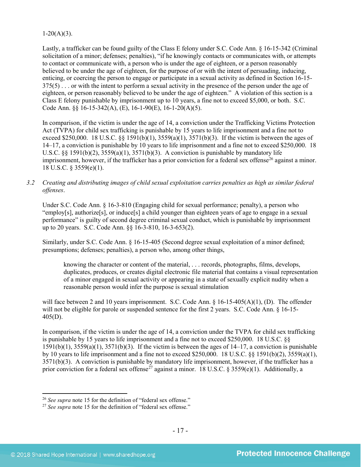## $1-20(A)(3)$ .

Lastly, a trafficker can be found guilty of the Class E felony under S.C. Code Ann. § 16-15-342 (Criminal solicitation of a minor; defenses; penalties), "if he knowingly contacts or communicates with, or attempts to contact or communicate with, a person who is under the age of eighteen, or a person reasonably believed to be under the age of eighteen, for the purpose of or with the intent of persuading, inducing, enticing, or coercing the person to engage or participate in a sexual activity as defined in Section 16-15- 375(5) . . . or with the intent to perform a sexual activity in the presence of the person under the age of eighteen, or person reasonably believed to be under the age of eighteen." A violation of this section is a Class E felony punishable by imprisonment up to 10 years, a fine not to exceed \$5,000, or both. S.C. Code Ann. §§ 16-15-342(A), (E), 16-1-90(E), 16-1-20(A)(5).

In comparison, if the victim is under the age of 14, a conviction under the Trafficking Victims Protection Act (TVPA) for child sex trafficking is punishable by 15 years to life imprisonment and a fine not to exceed \$250,000. 18 U.S.C. §§ 1591(b)(1),  $3559(a)(1)$ ,  $3571(b)(3)$ . If the victim is between the ages of 14–17, a conviction is punishable by 10 years to life imprisonment and a fine not to exceed \$250,000. 18 U.S.C. §§ 1591(b)(2),  $3559(a)(1)$ ,  $3571(b)(3)$ . A conviction is punishable by mandatory life imprisonment, however, if the trafficker has a prior conviction for a federal sex offense<sup>26</sup> against a minor. 18 U.S.C. § 3559(e)(1).

## *3.2 Creating and distributing images of child sexual exploitation carries penalties as high as similar federal offenses*.

Under S.C. Code Ann. § 16-3-810 (Engaging child for sexual performance; penalty), a person who "employ[s], authorize[s], or induce[s] a child younger than eighteen years of age to engage in a sexual performance" is guilty of second degree criminal sexual conduct, which is punishable by imprisonment up to 20 years. S.C. Code Ann. §§ 16-3-810, 16-3-653(2).

Similarly, under S.C. Code Ann. § 16-15-405 (Second degree sexual exploitation of a minor defined; presumptions; defenses; penalties), a person who, among other things,

knowing the character or content of the material, . . . records, photographs, films, develops, duplicates, produces, or creates digital electronic file material that contains a visual representation of a minor engaged in sexual activity or appearing in a state of sexually explicit nudity when a reasonable person would infer the purpose is sexual stimulation

will face between 2 and 10 years imprisonment. S.C. Code Ann. § 16-15-405(A)(1), (D). The offender will not be eligible for parole or suspended sentence for the first 2 years. S.C. Code Ann. § 16-15-405(D).

In comparison, if the victim is under the age of 14, a conviction under the TVPA for child sex trafficking is punishable by 15 years to life imprisonment and a fine not to exceed \$250,000. 18 U.S.C. §§  $1591(b)(1)$ ,  $3559(a)(1)$ ,  $3571(b)(3)$ . If the victim is between the ages of  $14-17$ , a conviction is punishable by 10 years to life imprisonment and a fine not to exceed \$250,000. 18 U.S.C. §§ 1591(b)(2), 3559(a)(1), 3571(b)(3). A conviction is punishable by mandatory life imprisonment, however, if the trafficker has a prior conviction for a federal sex offense<sup>[27](#page-16-1)</sup> against a minor. 18 U.S.C. § 3559(e)(1). Additionally, a

l <sup>26</sup> *See supra* note [15](#page-9-3) for the definition of "federal sex offense."

<span id="page-16-1"></span><span id="page-16-0"></span><sup>27</sup> *See supra* note [15](#page-9-3) for the definition of "federal sex offense."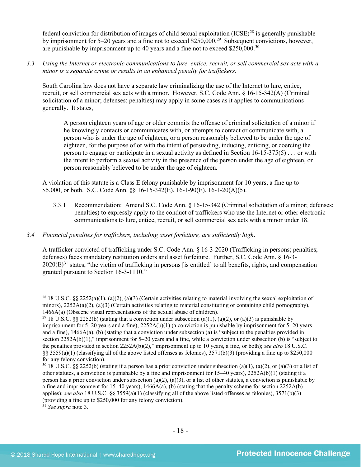federal conviction for distribution of images of child sexual exploitation  $(ICSE)^{28}$  $(ICSE)^{28}$  $(ICSE)^{28}$  is generally punishable by imprisonment for 5–20 years and a fine not to exceed \$250,000.[29](#page-17-1) Subsequent convictions, however, are punishable by imprisonment up to 40 years and a fine not to exceed \$250,000.[30](#page-17-2)

*3.3 Using the Internet or electronic communications to lure, entice, recruit, or sell commercial sex acts with a minor is a separate crime or results in an enhanced penalty for traffickers.* 

South Carolina law does not have a separate law criminalizing the use of the Internet to lure, entice, recruit, or sell commercial sex acts with a minor. However, S.C. Code Ann. § 16-15-342(A) (Criminal solicitation of a minor; defenses; penalties) may apply in some cases as it applies to communications generally. It states,

A person eighteen years of age or older commits the offense of criminal solicitation of a minor if he knowingly contacts or communicates with, or attempts to contact or communicate with, a person who is under the age of eighteen, or a person reasonably believed to be under the age of eighteen, for the purpose of or with the intent of persuading, inducing, enticing, or coercing the person to engage or participate in a sexual activity as defined in Section 16-15-375(5) . . . or with the intent to perform a sexual activity in the presence of the person under the age of eighteen, or person reasonably believed to be under the age of eighteen.

A violation of this statute is a Class E felony punishable by imprisonment for 10 years, a fine up to \$5,000, or both. S.C. Code Ann. §§ 16-15-342(E), 16-1-90(E), 16-1-20(A)(5).

- 3.3.1 Recommendation: Amend S.C. Code Ann. § 16-15-342 (Criminal solicitation of a minor; defenses; penalties) to expressly apply to the conduct of traffickers who use the Internet or other electronic communications to lure, entice, recruit, or sell commercial sex acts with a minor under 18.
- *3.4 Financial penalties for traffickers, including asset forfeiture, are sufficiently high*.

A trafficker convicted of trafficking under S.C. Code Ann. § 16-3-2020 (Trafficking in persons; penalties; defenses) faces mandatory restitution orders and asset forfeiture. Further, S.C. Code Ann. § 16-3-  $2020(E)^{31}$  $2020(E)^{31}$  $2020(E)^{31}$  states, "the victim of trafficking in persons [is entitled] to all benefits, rights, and compensation granted pursuant to Section 16-3-1110."

<span id="page-17-3"></span><sup>31</sup> *See supra* note [3.](#page-1-2)

l

<span id="page-17-0"></span><sup>&</sup>lt;sup>28</sup> 18 U.S.C. §§ 2252(a)(1), (a)(2), (a)(3) (Certain activities relating to material involving the sexual exploitation of minors),  $2252A(a)(2)$ ,  $(a)(3)$  (Certain activities relating to material constituting or containing child pornography), 1466A(a) (Obscene visual representations of the sexual abuse of children).

<span id="page-17-1"></span><sup>&</sup>lt;sup>29</sup> 18 U.S.C. §§ 2252(b) (stating that a conviction under subsection (a)(1), (a)(2), or (a)(3) is punishable by imprisonment for 5–20 years and a fine), 2252A(b)(1) (a conviction is punishable by imprisonment for 5–20 years and a fine), 1466A(a), (b) (stating that a conviction under subsection (a) is "subject to the penalties provided in section  $2252A(b)(1)$ ," imprisonment for 5–20 years and a fine, while a conviction under subsection (b) is "subject to the penalties provided in section 2252A(b)(2)," imprisonment up to 10 years, a fine, or both); *see also* 18 U.S.C. §§ 3559(a)(1) (classifying all of the above listed offenses as felonies),  $3571(b)(3)$  (providing a fine up to \$250,000 for any felony conviction).

<span id="page-17-2"></span> $30\,18$  U.S.C. §§ 2252(b) (stating if a person has a prior conviction under subsection (a)(1), (a)(2), or (a)(3) or a list of other statutes, a conviction is punishable by a fine and imprisonment for  $15-40$  years),  $2252A(b)(1)$  (stating if a person has a prior conviction under subsection (a)(2), (a)(3), or a list of other statutes, a conviction is punishable by a fine and imprisonment for 15–40 years),  $1466A(a)$ , (b) (stating that the penalty scheme for section 2252A(b) applies); *see also* 18 U.S.C. §§ 3559(a)(1) (classifying all of the above listed offenses as felonies), 3571(b)(3) (providing a fine up to \$250,000 for any felony conviction).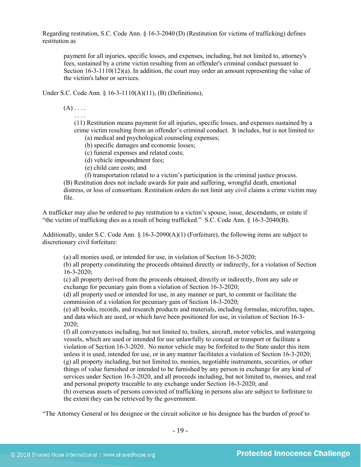Regarding restitution, S.C. Code Ann. § 16-3-2040 (D) (Restitution for victims of trafficking) defines restitution as

payment for all injuries, specific losses, and expenses, including, but not limited to, attorney's fees, sustained by a crime victim resulting from an offender's criminal conduct pursuant to Section  $16-3-1110(12)(a)$ . In addition, the court may order an amount representing the value of the victim's labor or services.

Under S.C. Code Ann. § 16-3-1110(A)(11), (B) (Definitions),

 $(A)$ ....

. . . .

(11) Restitution means payment for all injuries, specific losses, and expenses sustained by a crime victim resulting from an offender's criminal conduct. It includes, but is not limited to:

(a) medical and psychological counseling expenses;

(b) specific damages and economic losses;

(c) funeral expenses and related costs;

(d) vehicle impoundment fees;

(e) child care costs; and

(f) transportation related to a victim's participation in the criminal justice process.

(B) Restitution does not include awards for pain and suffering, wrongful death, emotional distress, or loss of consortium. Restitution orders do not limit any civil claims a crime victim may file.

A trafficker may also be ordered to pay restitution to a victim's spouse, issue, descendants, or estate if "the victim of trafficking dies as a result of being trafficked." S.C. Code Ann. § 16-3-2040(B).

Additionally, under S.C. Code Ann.  $\S$  16-3-2090(A)(1) (Forfeiture), the following items are subject to discretionary civil forfeiture:

(a) all monies used, or intended for use, in violation of Section 16-3-2020;

(b) all property constituting the proceeds obtained directly or indirectly, for a violation of Section 16-3-2020;

(c) all property derived from the proceeds obtained, directly or indirectly, from any sale or exchange for pecuniary gain from a violation of Section 16-3-2020;

(d) all property used or intended for use, in any manner or part, to commit or facilitate the commission of a violation for pecuniary gain of Section 16-3-2020;

(e) all books, records, and research products and materials, including formulas, microfilm, tapes, and data which are used, or which have been positioned for use, in violation of Section 16-3- 2020;

(f) all conveyances including, but not limited to, trailers, aircraft, motor vehicles, and watergoing vessels, which are used or intended for use unlawfully to conceal or transport or facilitate a violation of Section 16-3-2020. No motor vehicle may be forfeited to the State under this item unless it is used, intended for use, or in any manner facilitates a violation of Section 16-3-2020; (g) all property including, but not limited to, monies, negotiable instruments, securities, or other things of value furnished or intended to be furnished by any person in exchange for any kind of services under Section 16-3-2020, and all proceeds including, but not limited to, monies, and real and personal property traceable to any exchange under Section 16-3-2020; and

(h) overseas assets of persons convicted of trafficking in persons also are subject to forfeiture to the extent they can be retrieved by the government.

"The Attorney General or his designee or the circuit solicitor or his designee has the burden of proof to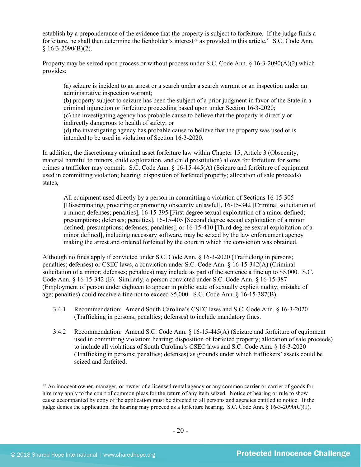establish by a preponderance of the evidence that the property is subject to forfeiture. If the judge finds a forfeiture, he shall then determine the lienholder's interest<sup>[32](#page-19-0)</sup> as provided in this article." S.C. Code Ann.  $$16-3-2090(B)(2).$ 

Property may be seized upon process or without process under S.C. Code Ann.  $\S$  16-3-2090(A)(2) which provides:

(a) seizure is incident to an arrest or a search under a search warrant or an inspection under an administrative inspection warrant;

(b) property subject to seizure has been the subject of a prior judgment in favor of the State in a criminal injunction or forfeiture proceeding based upon under Section 16-3-2020;

(c) the investigating agency has probable cause to believe that the property is directly or indirectly dangerous to health of safety; or

(d) the investigating agency has probable cause to believe that the property was used or is intended to be used in violation of Section 16-3-2020.

In addition, the discretionary criminal asset forfeiture law within Chapter 15, Article 3 (Obscenity, material harmful to minors, child exploitation, and child prostitution) allows for forfeiture for some crimes a trafficker may commit. S.C. Code Ann. § 16-15-445(A) (Seizure and forfeiture of equipment used in committing violation; hearing; disposition of forfeited property; allocation of sale proceeds) states,

All equipment used directly by a person in committing a violation of Sections 16-15-305 [Disseminating, procuring or promoting obscenity unlawful], 16-15-342 [Criminal solicitation of a minor; defenses; penalties], 16-15-395 [First degree sexual exploitation of a minor defined; presumptions; defenses; penalties], 16-15-405 [Second degree sexual exploitation of a minor defined; presumptions; defenses; penalties], or 16-15-410 [Third degree sexual exploitation of a minor defined], including necessary software, may be seized by the law enforcement agency making the arrest and ordered forfeited by the court in which the conviction was obtained.

Although no fines apply if convicted under S.C. Code Ann. § 16-3-2020 (Trafficking in persons; penalties; defenses) or CSEC laws, a conviction under S.C. Code Ann. § 16-15-342(A) (Criminal solicitation of a minor; defenses; penalties) may include as part of the sentence a fine up to \$5,000. S.C. Code Ann. § 16-15-342 (E). Similarly, a person convicted under S.C. Code Ann. § 16-15-387 (Employment of person under eighteen to appear in public state of sexually explicit nudity; mistake of age; penalties) could receive a fine not to exceed \$5,000. S.C. Code Ann. § 16-15-387(B).

- 3.4.1 Recommendation: Amend South Carolina's CSEC laws and S.C. Code Ann. § 16-3-2020 (Trafficking in persons; penalties; defenses) to include mandatory fines.
- 3.4.2 Recommendation: Amend S.C. Code Ann. § 16-15-445(A) (Seizure and forfeiture of equipment used in committing violation; hearing; disposition of forfeited property; allocation of sale proceeds) to include all violations of South Carolina's CSEC laws and S.C. Code Ann. § 16-3-2020 (Trafficking in persons; penalties; defenses) as grounds under which traffickers' assets could be seized and forfeited.

<span id="page-19-0"></span><sup>&</sup>lt;sup>32</sup> An innocent owner, manager, or owner of a licensed rental agency or any common carrier or carrier of goods for hire may apply to the court of common pleas for the return of any item seized. Notice of hearing or rule to show cause accompanied by copy of the application must be directed to all persons and agencies entitled to notice. If the judge denies the application, the hearing may proceed as a forfeiture hearing. S.C. Code Ann. § 16-3-2090(C)(1).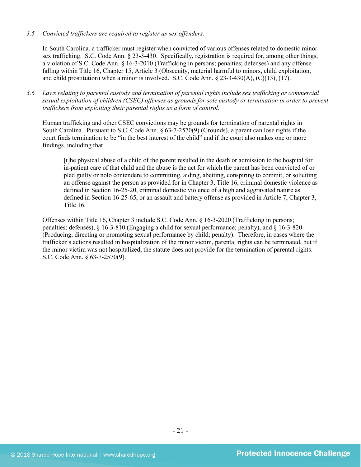*3.5 Convicted traffickers are required to register as sex offenders.*

In South Carolina, a trafficker must register when convicted of various offenses related to domestic minor sex trafficking. S.C. Code Ann. § 23-3-430. Specifically, registration is required for, among other things, a violation of S.C. Code Ann. § 16-3-2010 (Trafficking in persons; penalties; defenses) and any offense falling within Title 16, Chapter 15, Article 3 (Obscenity, material harmful to minors, child exploitation, and child prostitution) when a minor is involved. S.C. Code Ann.  $\S 23-3-430(A)$ , (C)(13), (17).

*3.6 Laws relating to parental custody and termination of parental rights include sex trafficking or commercial sexual exploitation of children (CSEC) offenses as grounds for sole custody or termination in order to prevent traffickers from exploiting their parental rights as a form of control.* 

Human trafficking and other CSEC convictions may be grounds for termination of parental rights in South Carolina. Pursuant to S.C. Code Ann. § 63-7-2570(9) (Grounds), a parent can lose rights if the court finds termination to be "in the best interest of the child" and if the court also makes one or more findings, including that

[t]he physical abuse of a child of the parent resulted in the death or admission to the hospital for in-patient care of that child and the abuse is the act for which the parent has been convicted of or pled guilty or nolo contendere to committing, aiding, abetting, conspiring to commit, or soliciting an offense against the person as provided for in Chapter 3, Title 16, criminal domestic violence as defined in Section 16-25-20, criminal domestic violence of a high and aggravated nature as defined in Section 16-25-65, or an assault and battery offense as provided in Article 7, Chapter 3, Title 16.

Offenses within Title 16, Chapter 3 include S.C. Code Ann. § 16-3-2020 (Trafficking in persons; penalties; defenses), § 16-3-810 (Engaging a child for sexual performance; penalty), and § 16-3-820 (Producing, directing or promoting sexual performance by child; penalty). Therefore, in cases where the trafficker's actions resulted in hospitalization of the minor victim, parental rights can be terminated, but if the minor victim was not hospitalized, the statute does not provide for the termination of parental rights. S.C. Code Ann. § 63-7-2570(9).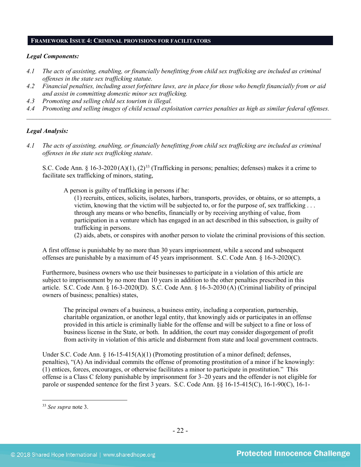## **FRAMEWORK ISSUE 4: CRIMINAL PROVISIONS FOR FACILITATORS**

#### *Legal Components:*

- *4.1 The acts of assisting, enabling, or financially benefitting from child sex trafficking are included as criminal offenses in the state sex trafficking statute.*
- *4.2 Financial penalties, including asset forfeiture laws, are in place for those who benefit financially from or aid and assist in committing domestic minor sex trafficking.*
- *4.3 Promoting and selling child sex tourism is illegal.*
- *4.4 Promoting and selling images of child sexual exploitation carries penalties as high as similar federal offenses. \_\_\_\_\_\_\_\_\_\_\_\_\_\_\_\_\_\_\_\_\_\_\_\_\_\_\_\_\_\_\_\_\_\_\_\_\_\_\_\_\_\_\_\_\_\_\_\_\_\_\_\_\_\_\_\_\_\_\_\_\_\_\_\_\_\_\_\_\_\_\_\_\_\_\_\_\_\_\_\_\_\_\_\_\_\_\_\_\_\_\_\_\_\_*

#### *Legal Analysis:*

*4.1 The acts of assisting, enabling, or financially benefitting from child sex trafficking are included as criminal offenses in the state sex trafficking statute*.

S.C. Code Ann. § 16-3-2020 (A)(1),  $(2)^{33}$  $(2)^{33}$  $(2)^{33}$  (Trafficking in persons; penalties; defenses) makes it a crime to facilitate sex trafficking of minors, stating,

A person is guilty of trafficking in persons if he:

(1) recruits, entices, solicits, isolates, harbors, transports, provides, or obtains, or so attempts, a victim, knowing that the victim will be subjected to, or for the purpose of, sex trafficking . . . through any means or who benefits, financially or by receiving anything of value, from participation in a venture which has engaged in an act described in this subsection, is guilty of trafficking in persons.

(2) aids, abets, or conspires with another person to violate the criminal provisions of this section.

A first offense is punishable by no more than 30 years imprisonment, while a second and subsequent offenses are punishable by a maximum of 45 years imprisonment. S.C. Code Ann. § 16-3-2020(C).

Furthermore, business owners who use their businesses to participate in a violation of this article are subject to imprisonment by no more than 10 years in addition to the other penalties prescribed in this article. S.C. Code Ann. § 16-3-2020(D). S.C. Code Ann. § 16-3-2030 (A) (Criminal liability of principal owners of business; penalties) states,

The principal owners of a business, a business entity, including a corporation, partnership, charitable organization, or another legal entity, that knowingly aids or participates in an offense provided in this article is criminally liable for the offense and will be subject to a fine or loss of business license in the State, or both. In addition, the court may consider disgorgement of profit from activity in violation of this article and disbarment from state and local government contracts.

Under S.C. Code Ann.  $\S$  16-15-415(A)(1) (Promoting prostitution of a minor defined; defenses, penalties), "(A) An individual commits the offense of promoting prostitution of a minor if he knowingly: (1) entices, forces, encourages, or otherwise facilitates a minor to participate in prostitution." This offense is a Class C felony punishable by imprisonment for 3–20 years and the offender is not eligible for parole or suspended sentence for the first 3 years. S.C. Code Ann. §§ 16-15-415(C), 16-1-90(C), 16-1-

<span id="page-21-0"></span><sup>33</sup> *See supra* note [3.](#page-1-2)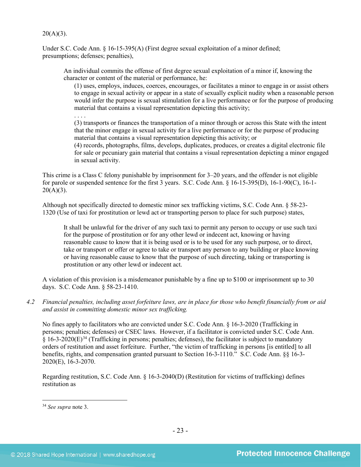### $20(A)(3)$ .

Under S.C. Code Ann. § 16-15-395(A) (First degree sexual exploitation of a minor defined; presumptions; defenses; penalties),

An individual commits the offense of first degree sexual exploitation of a minor if, knowing the character or content of the material or performance, he:

(1) uses, employs, induces, coerces, encourages, or facilitates a minor to engage in or assist others to engage in sexual activity or appear in a state of sexually explicit nudity when a reasonable person would infer the purpose is sexual stimulation for a live performance or for the purpose of producing material that contains a visual representation depicting this activity;

. . . .

(3) transports or finances the transportation of a minor through or across this State with the intent that the minor engage in sexual activity for a live performance or for the purpose of producing material that contains a visual representation depicting this activity; or

(4) records, photographs, films, develops, duplicates, produces, or creates a digital electronic file for sale or pecuniary gain material that contains a visual representation depicting a minor engaged in sexual activity.

This crime is a Class C felony punishable by imprisonment for 3–20 years, and the offender is not eligible for parole or suspended sentence for the first 3 years. S.C. Code Ann. § 16-15-395(D), 16-1-90(C), 16-1-  $20(A)(3)$ .

Although not specifically directed to domestic minor sex trafficking victims, S.C. Code Ann. § 58-23- 1320 (Use of taxi for prostitution or lewd act or transporting person to place for such purpose) states,

It shall be unlawful for the driver of any such taxi to permit any person to occupy or use such taxi for the purpose of prostitution or for any other lewd or indecent act, knowing or having reasonable cause to know that it is being used or is to be used for any such purpose, or to direct, take or transport or offer or agree to take or transport any person to any building or place knowing or having reasonable cause to know that the purpose of such directing, taking or transporting is prostitution or any other lewd or indecent act.

A violation of this provision is a misdemeanor punishable by a fine up to \$100 or imprisonment up to 30 days. S.C. Code Ann. § 58-23-1410.

*4.2 Financial penalties, including asset forfeiture laws, are in place for those who benefit financially from or aid and assist in committing domestic minor sex trafficking.*

No fines apply to facilitators who are convicted under S.C. Code Ann. § 16-3-2020 (Trafficking in persons; penalties; defenses) or CSEC laws. However, if a facilitator is convicted under S.C. Code Ann.  $\S$  16-3-2020(E)<sup>[34](#page-22-0)</sup> (Trafficking in persons; penalties; defenses), the facilitator is subject to mandatory orders of restitution and asset forfeiture. Further, "the victim of trafficking in persons [is entitled] to all benefits, rights, and compensation granted pursuant to Section 16-3-1110." S.C. Code Ann. §§ 16-3- 2020(E), 16-3-2070.

Regarding restitution, S.C. Code Ann. § 16-3-2040(D) (Restitution for victims of trafficking) defines restitution as

<span id="page-22-0"></span><sup>34</sup> *See supra* note [3.](#page-1-2)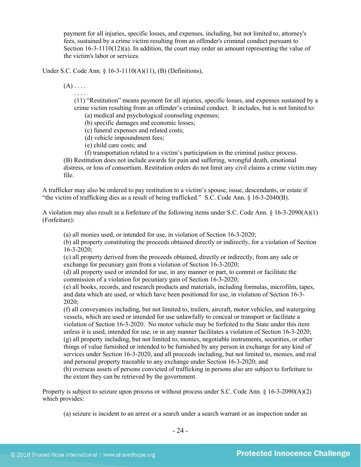payment for all injuries, specific losses, and expenses, including, but not limited to, attorney's fees, sustained by a crime victim resulting from an offender's criminal conduct pursuant to Section  $16-3-1110(12)(a)$ . In addition, the court may order an amount representing the value of the victim's labor or services.

Under S.C. Code Ann. § 16-3-1110(A)(11), (B) (Definitions),

 $(A)$ ....

. . . .

(11) "Restitution" means payment for all injuries, specific losses, and expenses sustained by a crime victim resulting from an offender's criminal conduct. It includes, but is not limited to:

(a) medical and psychological counseling expenses;

(b) specific damages and economic losses;

(c) funeral expenses and related costs;

(d) vehicle impoundment fees;

(e) child care costs; and

(f) transportation related to a victim's participation in the criminal justice process.

(B) Restitution does not include awards for pain and suffering, wrongful death, emotional distress, or loss of consortium. Restitution orders do not limit any civil claims a crime victim may file.

A trafficker may also be ordered to pay restitution to a victim's spouse, issue, descendants, or estate if "the victim of trafficking dies as a result of being trafficked." S.C. Code Ann. § 16-3-2040(B).

A violation may also result in a forfeiture of the following items under S.C. Code Ann. § 16-3-2090(A)(1) (Forfeiture):

(a) all monies used, or intended for use, in violation of Section 16-3-2020;

(b) all property constituting the proceeds obtained directly or indirectly, for a violation of Section 16-3-2020;

(c) all property derived from the proceeds obtained, directly or indirectly, from any sale or exchange for pecuniary gain from a violation of Section 16-3-2020;

(d) all property used or intended for use, in any manner or part, to commit or facilitate the commission of a violation for pecuniary gain of Section 16-3-2020;

(e) all books, records, and research products and materials, including formulas, microfilm, tapes, and data which are used, or which have been positioned for use, in violation of Section 16-3- 2020;

(f) all conveyances including, but not limited to, trailers, aircraft, motor vehicles, and watergoing vessels, which are used or intended for use unlawfully to conceal or transport or facilitate a violation of Section 16-3-2020. No motor vehicle may be forfeited to the State under this item unless it is used, intended for use, or in any manner facilitates a violation of Section 16-3-2020; (g) all property including, but not limited to, monies, negotiable instruments, securities, or other things of value furnished or intended to be furnished by any person in exchange for any kind of services under Section 16-3-2020, and all proceeds including, but not limited to, monies, and real and personal property traceable to any exchange under Section 16-3-2020; and

(h) overseas assets of persons convicted of trafficking in persons also are subject to forfeiture to the extent they can be retrieved by the government.

Property is subject to seizure upon process or without process under S.C. Code Ann. § 16-3-2090(A)(2) which provides:

(a) seizure is incident to an arrest or a search under a search warrant or an inspection under an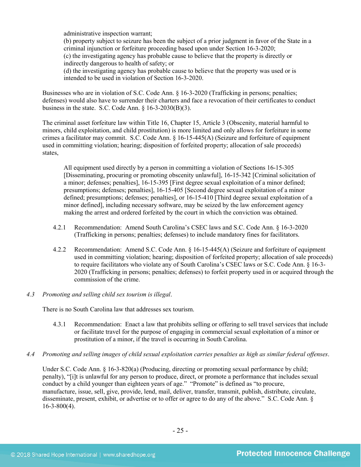administrative inspection warrant;

(b) property subject to seizure has been the subject of a prior judgment in favor of the State in a criminal injunction or forfeiture proceeding based upon under Section 16-3-2020; (c) the investigating agency has probable cause to believe that the property is directly or indirectly dangerous to health of safety; or

(d) the investigating agency has probable cause to believe that the property was used or is intended to be used in violation of Section 16-3-2020.

Businesses who are in violation of S.C. Code Ann. § 16-3-2020 (Trafficking in persons; penalties; defenses) would also have to surrender their charters and face a revocation of their certificates to conduct business in the state. S.C. Code Ann.  $\S$  16-3-2030(B)(3).

The criminal asset forfeiture law within Title 16, Chapter 15, Article 3 (Obscenity, material harmful to minors, child exploitation, and child prostitution) is more limited and only allows for forfeiture in some crimes a facilitator may commit. S.C. Code Ann. § 16-15-445(A) (Seizure and forfeiture of equipment used in committing violation; hearing; disposition of forfeited property; allocation of sale proceeds) states,

All equipment used directly by a person in committing a violation of Sections 16-15-305 [Disseminating, procuring or promoting obscenity unlawful], 16-15-342 [Criminal solicitation of a minor; defenses; penalties], 16-15-395 [First degree sexual exploitation of a minor defined; presumptions; defenses; penalties], 16-15-405 [Second degree sexual exploitation of a minor defined; presumptions; defenses; penalties], or 16-15-410 [Third degree sexual exploitation of a minor defined], including necessary software, may be seized by the law enforcement agency making the arrest and ordered forfeited by the court in which the conviction was obtained.

- 4.2.1 Recommendation: Amend South Carolina's CSEC laws and S.C. Code Ann. § 16-3-2020 (Trafficking in persons; penalties; defenses) to include mandatory fines for facilitators.
- 4.2.2 Recommendation: Amend S.C. Code Ann. § 16-15-445(A) (Seizure and forfeiture of equipment used in committing violation; hearing; disposition of forfeited property; allocation of sale proceeds) to require facilitators who violate any of South Carolina's CSEC laws or S.C. Code Ann. § 16-3- 2020 (Trafficking in persons; penalties; defenses) to forfeit property used in or acquired through the commission of the crime.
- *4.3 Promoting and selling child sex tourism is illegal*.

There is no South Carolina law that addresses sex tourism.

- 4.3.1 Recommendation: Enact a law that prohibits selling or offering to sell travel services that include or facilitate travel for the purpose of engaging in commercial sexual exploitation of a minor or prostitution of a minor, if the travel is occurring in South Carolina.
- *4.4 Promoting and selling images of child sexual exploitation carries penalties as high as similar federal offenses*.

Under S.C. Code Ann. § 16-3-820(a) (Producing, directing or promoting sexual performance by child; penalty), "[i]t is unlawful for any person to produce, direct, or promote a performance that includes sexual conduct by a child younger than eighteen years of age." "Promote" is defined as "to procure, manufacture, issue, sell, give, provide, lend, mail, deliver, transfer, transmit, publish, distribute, circulate, disseminate, present, exhibit, or advertise or to offer or agree to do any of the above." S.C. Code Ann. §  $16 - 3 - 800(4)$ .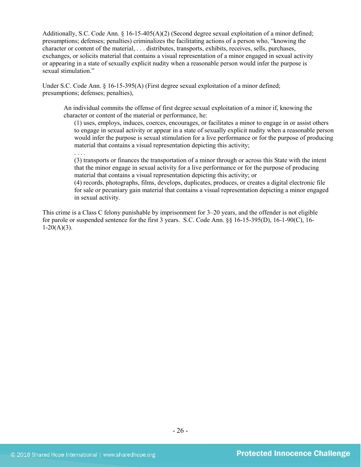Additionally, S.C. Code Ann. § 16-15-405(A)(2) (Second degree sexual exploitation of a minor defined; presumptions; defenses; penalties) criminalizes the facilitating actions of a person who, "knowing the character or content of the material, . . . distributes, transports, exhibits, receives, sells, purchases, exchanges, or solicits material that contains a visual representation of a minor engaged in sexual activity or appearing in a state of sexually explicit nudity when a reasonable person would infer the purpose is sexual stimulation."

Under S.C. Code Ann. § 16-15-395(A) (First degree sexual exploitation of a minor defined; presumptions; defenses; penalties),

An individual commits the offense of first degree sexual exploitation of a minor if, knowing the character or content of the material or performance, he:

(1) uses, employs, induces, coerces, encourages, or facilitates a minor to engage in or assist others to engage in sexual activity or appear in a state of sexually explicit nudity when a reasonable person would infer the purpose is sexual stimulation for a live performance or for the purpose of producing material that contains a visual representation depicting this activity;

(3) transports or finances the transportation of a minor through or across this State with the intent that the minor engage in sexual activity for a live performance or for the purpose of producing material that contains a visual representation depicting this activity; or

(4) records, photographs, films, develops, duplicates, produces, or creates a digital electronic file for sale or pecuniary gain material that contains a visual representation depicting a minor engaged in sexual activity.

This crime is a Class C felony punishable by imprisonment for 3–20 years, and the offender is not eligible for parole or suspended sentence for the first 3 years. S.C. Code Ann. §§ 16-15-395(D), 16-1-90(C), 16-  $1-20(A)(3)$ .

. . . .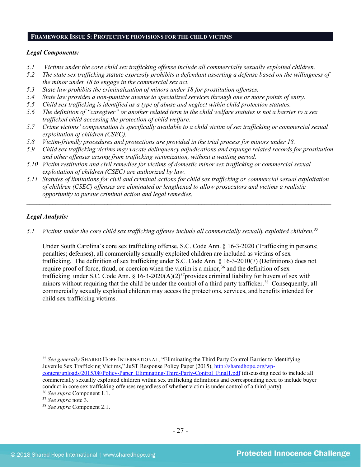## **FRAMEWORK ISSUE 5: PROTECTIVE PROVISIONS FOR THE CHILD VICTIMS**

#### *Legal Components:*

- *5.1 Victims under the core child sex trafficking offense include all commercially sexually exploited children.*
- *5.2 The state sex trafficking statute expressly prohibits a defendant asserting a defense based on the willingness of the minor under 18 to engage in the commercial sex act.*
- *5.3 State law prohibits the criminalization of minors under 18 for prostitution offenses.*
- *5.4 State law provides a non-punitive avenue to specialized services through one or more points of entry.*
- *5.5 Child sex trafficking is identified as a type of abuse and neglect within child protection statutes.*
- *5.6 The definition of "caregiver" or another related term in the child welfare statutes is not a barrier to a sex trafficked child accessing the protection of child welfare.*
- *5.7 Crime victims' compensation is specifically available to a child victim of sex trafficking or commercial sexual exploitation of children (CSEC).*
- *5.8 Victim-friendly procedures and protections are provided in the trial process for minors under 18.*
- *5.9 Child sex trafficking victims may vacate delinquency adjudications and expunge related records for prostitution and other offenses arising from trafficking victimization, without a waiting period.*
- *5.10 Victim restitution and civil remedies for victims of domestic minor sex trafficking or commercial sexual exploitation of children (CSEC) are authorized by law.*
- *5.11 Statutes of limitations for civil and criminal actions for child sex trafficking or commercial sexual exploitation of children (CSEC) offenses are eliminated or lengthened to allow prosecutors and victims a realistic opportunity to pursue criminal action and legal remedies.*

*\_\_\_\_\_\_\_\_\_\_\_\_\_\_\_\_\_\_\_\_\_\_\_\_\_\_\_\_\_\_\_\_\_\_\_\_\_\_\_\_\_\_\_\_\_\_\_\_\_\_\_\_\_\_\_\_\_\_\_\_\_\_\_\_\_\_\_\_\_\_\_\_\_\_\_\_\_\_\_\_\_\_\_\_\_\_\_\_\_\_\_\_\_\_*

## *Legal Analysis:*

*5.1 Victims under the core child sex trafficking offense include all commercially sexually exploited children.[35](#page-26-0)*

Under South Carolina's core sex trafficking offense, S.C. Code Ann. § 16-3-2020 (Trafficking in persons; penalties; defenses), all commercially sexually exploited children are included as victims of sex trafficking. The definition of sex trafficking under S.C. Code Ann. § 16-3-2010(7) (Definitions) does not require proof of force, fraud, or coercion when the victim is a minor,<sup>[36](#page-26-1)</sup> and the definition of sex trafficking under S.C. Code Ann. § 16-3-2020(A)(2)<sup>37</sup>provides criminal liability for buyers of sex with minors without requiring that the child be under the control of a third party trafficker.<sup>[38](#page-26-3)</sup> Consequently, all commercially sexually exploited children may access the protections, services, and benefits intended for child sex trafficking victims.

<span id="page-26-0"></span>l <sup>35</sup> *See generally* SHARED HOPE INTERNATIONAL, "Eliminating the Third Party Control Barrier to Identifying Juvenile Sex Trafficking Victims," JuST Response Policy Paper (2015), [http://sharedhope.org/wp](http://sharedhope.org/wp-content/uploads/2015/08/Policy-Paper_Eliminating-Third-Party-Control_Final1.pdf)[content/uploads/2015/08/Policy-Paper\\_Eliminating-Third-Party-Control\\_Final1.pdf](http://sharedhope.org/wp-content/uploads/2015/08/Policy-Paper_Eliminating-Third-Party-Control_Final1.pdf) (discussing need to include all commercially sexually exploited children within sex trafficking definitions and corresponding need to include buyer conduct in core sex trafficking offenses regardless of whether victim is under control of a third party).

<span id="page-26-2"></span><span id="page-26-1"></span><sup>36</sup> *See supra* Component 1.1.

<span id="page-26-3"></span><sup>&</sup>lt;sup>38</sup> *See supra* Component 2.1.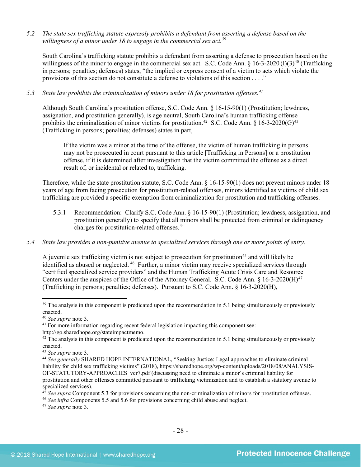*5.2 The state sex trafficking statute expressly prohibits a defendant from asserting a defense based on the willingness of a minor under 18 to engage in the commercial sex act.[39](#page-27-0)*

South Carolina's trafficking statute prohibits a defendant from asserting a defense to prosecution based on the willingness of the minor to engage in the commercial sex act. S.C. Code Ann.  $\S$  16-3-2020 (I)(3)<sup>[40](#page-27-1)</sup> (Trafficking in persons; penalties; defenses) states, "the implied or express consent of a victim to acts which violate the provisions of this section do not constitute a defense to violations of this section . . . ."

*5.3 State law prohibits the criminalization of minors under 18 for prostitution offenses.[41](#page-27-2)*

Although South Carolina's prostitution offense, S.C. Code Ann. § 16-15-90(1) (Prostitution; lewdness, assignation, and prostitution generally), is age neutral, South Carolina's human trafficking offense prohibits the criminalization of minor victims for prostitution.<sup>[42](#page-27-3)</sup> S.C. Code Ann. § 16-3-2020(G)<sup>[43](#page-27-4)</sup> (Trafficking in persons; penalties; defenses) states in part,

If the victim was a minor at the time of the offense, the victim of human trafficking in persons may not be prosecuted in court pursuant to this article [Trafficking in Persons] or a prostitution offense, if it is determined after investigation that the victim committed the offense as a direct result of, or incidental or related to, trafficking.

Therefore, while the state prostitution statute, S.C. Code Ann. § 16-15-90(1) does not prevent minors under 18 years of age from facing prosecution for prostitution-related offenses, minors identified as victims of child sex trafficking are provided a specific exemption from criminalization for prostitution and trafficking offenses.

- 5.3.1 Recommendation: Clarify S.C. Code Ann. § 16-15-90(1) (Prostitution; lewdness, assignation, and prostitution generally) to specify that all minors shall be protected from criminal or delinquency charges for prostitution-related offenses.[44](#page-27-5)
- *5.4 State law provides a non-punitive avenue to specialized services through one or more points of entry.*

A juvenile sex trafficking victim is not subject to prosecution for prostitution<sup>45</sup> and will likely be identified as abused or neglected. [46](#page-27-7) Further, a minor victim may receive specialized services through "certified specialized service providers" and the Human Trafficking Acute Crisis Care and Resource Centers under the auspices of the Office of the Attorney General. S.C. Code Ann.  $\S$  16-3-2020(H)<sup>[47](#page-27-8)</sup> (Trafficking in persons; penalties; defenses). Pursuant to S.C. Code Ann. § 16-3-2020(H),

 $\overline{\phantom{a}}$ 

<span id="page-27-8"></span><sup>47</sup> *See supra* note [3.](#page-1-2)

<span id="page-27-0"></span><sup>&</sup>lt;sup>39</sup> The analysis in this component is predicated upon the recommendation in 5.1 being simultaneously or previously enacted.<br><sup>40</sup> See supra note 3.

<span id="page-27-1"></span>

<span id="page-27-2"></span><sup>&</sup>lt;sup>41</sup> For more information regarding recent federal legislation impacting this component see:

http://go.sharedhope.org/stateimpactmemo.

<span id="page-27-3"></span> $42$  The analysis in this component is predicated upon the recommendation in 5.1 being simultaneously or previously enacted.

<span id="page-27-5"></span><span id="page-27-4"></span><sup>&</sup>lt;sup>43</sup> *See supra* note [3.](#page-1-2)<br><sup>44</sup> *See generally* SHARED HOPE INTERNATIONAL, "Seeking Justice: Legal approaches to eliminate criminal liability for child sex trafficking victims" (2018), https://sharedhope.org/wp-content/uploads/2018/08/ANALYSIS-OF-STATUTORY-APPROACHES\_ver7.pdf (discussing need to eliminate a minor's criminal liability for prostitution and other offenses committed pursuant to trafficking victimization and to establish a statutory avenue to specialized services).

<sup>&</sup>lt;sup>45</sup> See supra Component 5.3 for provisions concerning the non-criminalization of minors for prostitution offenses.

<span id="page-27-7"></span><span id="page-27-6"></span><sup>46</sup> *See infra* Components 5.5 and 5.6 for provisions concerning child abuse and neglect.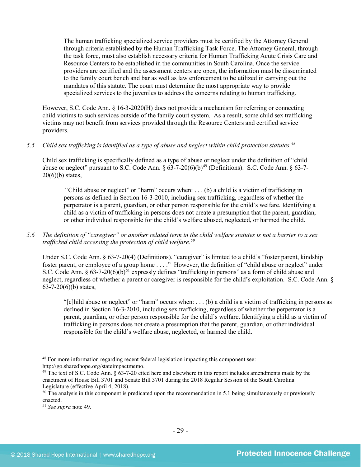The human trafficking specialized service providers must be certified by the Attorney General through criteria established by the Human Trafficking Task Force. The Attorney General, through the task force, must also establish necessary criteria for Human Trafficking Acute Crisis Care and Resource Centers to be established in the communities in South Carolina. Once the service providers are certified and the assessment centers are open, the information must be disseminated to the family court bench and bar as well as law enforcement to be utilized in carrying out the mandates of this statute. The court must determine the most appropriate way to provide specialized services to the juveniles to address the concerns relating to human trafficking.

However, S.C. Code Ann. § 16-3-2020(H) does not provide a mechanism for referring or connecting child victims to such services outside of the family court system. As a result, some child sex trafficking victims may not benefit from services provided through the Resource Centers and certified service providers.

## *5.5 Child sex trafficking is identified as a type of abuse and neglect within child protection statutes.[48](#page-28-1)*

Child sex trafficking is specifically defined as a type of abuse or neglect under the definition of "child abuse or neglect" pursuant to S.C. Code Ann.  $\S 63-7-20(6)(b)^{49}$  $\S 63-7-20(6)(b)^{49}$  $\S 63-7-20(6)(b)^{49}$  (Definitions). S.C. Code Ann.  $\S 63-7 20(6)(b)$  states,

<span id="page-28-0"></span>"Child abuse or neglect" or "harm" occurs when: . . . (b) a child is a victim of trafficking in persons as defined in Section 16-3-2010, including sex trafficking, regardless of whether the perpetrator is a parent, guardian, or other person responsible for the child's welfare. Identifying a child as a victim of trafficking in persons does not create a presumption that the parent, guardian, or other individual responsible for the child's welfare abused, neglected, or harmed the child.

## *5.6 The definition of "caregiver" or another related term in the child welfare statutes is not a barrier to a sex trafficked child accessing the protection of child welfare. [50](#page-28-3)*

Under S.C. Code Ann. § 63-7-20(4) (Definitions). "caregiver" is limited to a child's "foster parent, kindship foster parent, or employee of a group home . . . ." However, the definition of "child abuse or neglect" under S.C. Code Ann. §  $63-7-20(6)(b)^{51}$  $63-7-20(6)(b)^{51}$  $63-7-20(6)(b)^{51}$  expressly defines "trafficking in persons" as a form of child abuse and neglect, regardless of whether a parent or caregiver is responsible for the child's exploitation. S.C. Code Ann. §  $63-7-20(6)(b)$  states,

"[c]hild abuse or neglect" or "harm" occurs when: . . . (b) a child is a victim of trafficking in persons as defined in Section 16-3-2010, including sex trafficking, regardless of whether the perpetrator is a parent, guardian, or other person responsible for the child's welfare. Identifying a child as a victim of trafficking in persons does not create a presumption that the parent, guardian, or other individual responsible for the child's welfare abuse, neglected, or harmed the child.

l

<span id="page-28-1"></span><sup>48</sup> For more information regarding recent federal legislation impacting this component see: http://go.sharedhope.org/stateimpactmemo.

<span id="page-28-2"></span><sup>&</sup>lt;sup>49</sup> The text of S.C. Code Ann. § 63-7-20 cited here and elsewhere in this report includes amendments made by the enactment of House Bill 3701 and Senate Bill 3701 during the 2018 Regular Session of the South Carolina Legislature (effective April 4, 2018).

<span id="page-28-3"></span> $50$  The analysis in this component is predicated upon the recommendation in 5.1 being simultaneously or previously enacted.

<span id="page-28-4"></span><sup>51</sup> *See supra* note [49.](#page-28-0)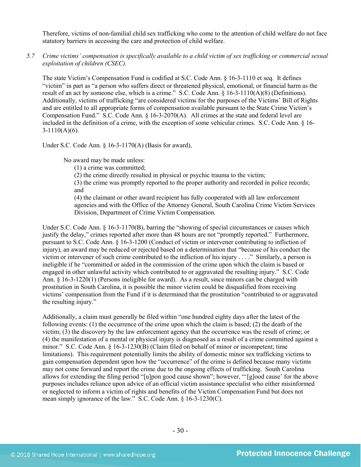Therefore, victims of non-familial child sex trafficking who come to the attention of child welfare do not face statutory barriers in accessing the care and protection of child welfare.

*5.7 Crime victims' compensation is specifically available to a child victim of sex trafficking or commercial sexual exploitation of children (CSEC).*

The state Victim's Compensation Fund is codified at S.C. Code Ann. § 16-3-1110 et seq. It defines "victim" in part as "a person who suffers direct or threatened physical, emotional, or financial harm as the result of an act by someone else, which is a crime." S.C. Code Ann. § 16-3-1110(A)(8) (Definitions). Additionally, victims of trafficking "are considered victims for the purposes of the Victims' Bill of Rights and are entitled to all appropriate forms of compensation available pursuant to the State Crime Victim's Compensation Fund." S.C. Code Ann. § 16-3-2070(A). All crimes at the state and federal level are included in the definition of a crime, with the exception of some vehicular crimes. S.C. Code Ann. § 16-  $3-1110(A)(6)$ .

Under S.C. Code Ann. § 16-3-1170(A) (Basis for award),

No award may be made unless:

(1) a crime was committed;

(2) the crime directly resulted in physical or psychic trauma to the victim;

(3) the crime was promptly reported to the proper authority and recorded in police records; and

(4) the claimant or other award recipient has fully cooperated with all law enforcement agencies and with the Office of the Attorney General, South Carolina Crime Victim Services Division, Department of Crime Victim Compensation.

Under S.C. Code Ann. § 16-3-1170(B), barring the "showing of special circumstances or causes which justify the delay," crimes reported after more than 48 hours are not "promptly reported." Furthermore, pursuant to S.C. Code Ann. § 16-3-1200 (Conduct of victim or intervener contributing to infliction of injury), an award may be reduced or rejected based on a determination that "because of his conduct the victim or intervener of such crime contributed to the infliction of his injury . . . ." Similarly, a person is ineligible if he "committed or aided in the commission of the crime upon which the claim is based or engaged in other unlawful activity which contributed to or aggravated the resulting injury." S.C. Code Ann. § 16-3-1220(1) (Persons ineligible for award). As a result, since minors can be charged with prostitution in South Carolina, it is possible the minor victim could be disqualified from receiving victims' compensation from the Fund if it is determined that the prostitution "contributed to or aggravated the resulting injury."

Additionally, a claim must generally be filed within "one hundred eighty days after the latest of the following events: (1) the occurrence of the crime upon which the claim is based; (2) the death of the victim; (3) the discovery by the law enforcement agency that the occurrence was the result of crime; or (4) the manifestation of a mental or physical injury is diagnosed as a result of a crime committed against a minor." S.C. Code Ann. § 16-3-1230(B) (Claim filed on behalf of minor or incompetent; time limitations). This requirement potentially limits the ability of domestic minor sex trafficking victims to gain compensation dependent upon how the "occurrence" of the crime is defined because many victims may not come forward and report the crime due to the ongoing effects of trafficking. South Carolina allows for extending the filing period "[u]pon good cause shown"; however, "'[g]ood cause' for the above purposes includes reliance upon advice of an official victim assistance specialist who either misinformed or neglected to inform a victim of rights and benefits of the Victim Compensation Fund but does not mean simply ignorance of the law." S.C. Code Ann. § 16-3-1230(C).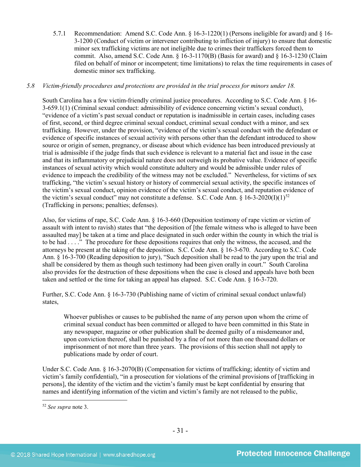5.7.1 Recommendation: Amend S.C. Code Ann. § 16-3-1220(1) (Persons ineligible for award) and § 16- 3-1200 (Conduct of victim or intervener contributing to infliction of injury) to ensure that domestic minor sex trafficking victims are not ineligible due to crimes their traffickers forced them to commit. Also, amend S.C. Code Ann. § 16-3-1170(B) (Basis for award) and § 16-3-1230 (Claim filed on behalf of minor or incompetent; time limitations) to relax the time requirements in cases of domestic minor sex trafficking.

## *5.8 Victim-friendly procedures and protections are provided in the trial process for minors under 18.*

South Carolina has a few victim-friendly criminal justice procedures. According to S.C. Code Ann. § 16- 3-659.1(1) (Criminal sexual conduct: admissibility of evidence concerning victim's sexual conduct), "evidence of a victim's past sexual conduct or reputation is inadmissible in certain cases, including cases of first, second, or third degree criminal sexual conduct, criminal sexual conduct with a minor, and sex trafficking. However, under the provision, "evidence of the victim's sexual conduct with the defendant or evidence of specific instances of sexual activity with persons other than the defendant introduced to show source or origin of semen, pregnancy, or disease about which evidence has been introduced previously at trial is admissible if the judge finds that such evidence is relevant to a material fact and issue in the case and that its inflammatory or prejudicial nature does not outweigh its probative value. Evidence of specific instances of sexual activity which would constitute adultery and would be admissible under rules of evidence to impeach the credibility of the witness may not be excluded." Nevertheless, for victims of sex trafficking, "the victim's sexual history or history of commercial sexual activity, the specific instances of the victim's sexual conduct, opinion evidence of the victim's sexual conduct, and reputation evidence of the victim's sexual conduct" may not constitute a defense. S.C. Code Ann. § 16-3-2020(I)(1)<sup>[52](#page-30-0)</sup> (Trafficking in persons; penalties; defenses).

Also, for victims of rape, S.C. Code Ann. § 16-3-660 (Deposition testimony of rape victim or victim of assault with intent to ravish) states that "the deposition of [the female witness who is alleged to have been assaulted may] be taken at a time and place designated in such order within the county in which the trial is to be had . . . ." The procedure for these depositions requires that only the witness, the accused, and the attorneys be present at the taking of the deposition. S.C. Code Ann. § 16-3-670. According to S.C. Code Ann. § 16-3-700 (Reading deposition to jury), "Such deposition shall be read to the jury upon the trial and shall be considered by them as though such testimony had been given orally in court." South Carolina also provides for the destruction of these depositions when the case is closed and appeals have both been taken and settled or the time for taking an appeal has elapsed. S.C. Code Ann. § 16-3-720.

Further, S.C. Code Ann. § 16-3-730 (Publishing name of victim of criminal sexual conduct unlawful) states,

Whoever publishes or causes to be published the name of any person upon whom the crime of criminal sexual conduct has been committed or alleged to have been committed in this State in any newspaper, magazine or other publication shall be deemed guilty of a misdemeanor and, upon conviction thereof, shall be punished by a fine of not more than one thousand dollars or imprisonment of not more than three years. The provisions of this section shall not apply to publications made by order of court.

Under S.C. Code Ann. § 16-3-2070(B) (Compensation for victims of trafficking; identity of victim and victim's family confidential), "in a prosecution for violations of the criminal provisions of [trafficking in persons], the identity of the victim and the victim's family must be kept confidential by ensuring that names and identifying information of the victim and victim's family are not released to the public,

<span id="page-30-0"></span><sup>52</sup> *See supra* note [3.](#page-1-2)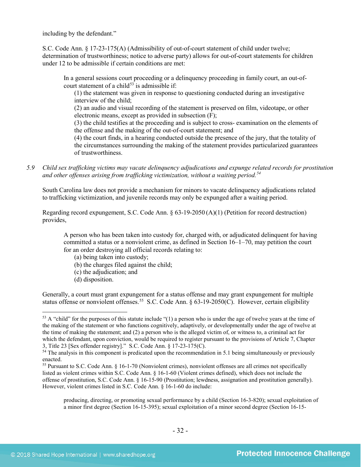including by the defendant."

S.C. Code Ann. § 17-23-175(A) (Admissibility of out-of-court statement of child under twelve; determination of trustworthiness; notice to adverse party) allows for out-of-court statements for children under 12 to be admissible if certain conditions are met:

In a general sessions court proceeding or a delinquency proceeding in family court, an out-of-court statement of a child<sup>[53](#page-31-0)</sup> is admissible if:

(1) the statement was given in response to questioning conducted during an investigative interview of the child;

(2) an audio and visual recording of the statement is preserved on film, videotape, or other electronic means, except as provided in subsection (F);

(3) the child testifies at the proceeding and is subject to cross- examination on the elements of the offense and the making of the out-of-court statement; and

(4) the court finds, in a hearing conducted outside the presence of the jury, that the totality of the circumstances surrounding the making of the statement provides particularized guarantees of trustworthiness.

*5.9 Child sex trafficking victims may vacate delinquency adjudications and expunge related records for prostitution and other offenses arising from trafficking victimization, without a waiting period. [54](#page-31-1)*

South Carolina law does not provide a mechanism for minors to vacate delinquency adjudications related to trafficking victimization, and juvenile records may only be expunged after a waiting period.

Regarding record expungement, S.C. Code Ann. § 63-19-2050 (A)(1) (Petition for record destruction) provides,

A person who has been taken into custody for, charged with, or adjudicated delinquent for having committed a status or a nonviolent crime, as defined in Section 16–1–70, may petition the court for an order destroying all official records relating to:

- (a) being taken into custody;
- (b) the charges filed against the child;
- (c) the adjudication; and
- (d) disposition.

l

Generally, a court must grant expungement for a status offense and may grant expungement for multiple status offense or nonviolent offenses.<sup>[55](#page-31-2)</sup> S.C. Code Ann. § 63-19-2050(C). However, certain eligibility

<span id="page-31-0"></span> $53$  A "child" for the purposes of this statute include "(1) a person who is under the age of twelve years at the time of the making of the statement or who functions cognitively, adaptively, or developmentally under the age of twelve at the time of making the statement; and (2) a person who is the alleged victim of, or witness to, a criminal act for which the defendant, upon conviction, would be required to register pursuant to the provisions of Article 7, Chapter 3, Title 23 [Sex offender registry]." S.C. Code Ann. § 17-23-175(C).

<span id="page-31-1"></span><sup>&</sup>lt;sup>54</sup> The analysis in this component is predicated upon the recommendation in 5.1 being simultaneously or previously enacted.

<span id="page-31-2"></span><sup>55</sup> Pursuant to S.C. Code Ann. § 16-1-70 (Nonviolent crimes), nonviolent offenses are all crimes not specifically listed as violent crimes within S.C. Code Ann. § 16-1-60 (Violent crimes defined), which does not include the offense of prostitution, S.C. Code Ann. § 16-15-90 (Prostitution; lewdness, assignation and prostitution generally). However, violent crimes listed in S.C. Code Ann. § 16-1-60 do include:

producing, directing, or promoting sexual performance by a child (Section 16-3-820); sexual exploitation of a minor first degree (Section 16-15-395); sexual exploitation of a minor second degree (Section 16-15-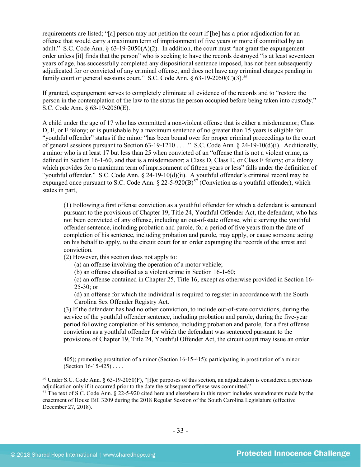requirements are listed; "[a] person may not petition the court if [he] has a prior adjudication for an offense that would carry a maximum term of imprisonment of five years or more if committed by an adult." S.C. Code Ann.  $\S 63-19-2050(A)(2)$ . In addition, the court must "not grant the expungement" order unless [it] finds that the person" who is seeking to have the records destroyed "is at least seventeen years of age, has successfully completed any dispositional sentence imposed, has not been subsequently adjudicated for or convicted of any criminal offense, and does not have any criminal charges pending in family court or general sessions court." S.C. Code Ann.  $\S 63-19-2050(C)(3)$ .<sup>[56](#page-32-0)</sup>

If granted, expungement serves to completely eliminate all evidence of the records and to "restore the person in the contemplation of the law to the status the person occupied before being taken into custody." S.C. Code Ann. § 63-19-2050(E).

A child under the age of 17 who has committed a non-violent offense that is either a misdemeanor; Class D, E, or F felony; or is punishable by a maximum sentence of no greater than 15 years is eligible for "youthful offender" status if the minor "has been bound over for proper criminal proceedings to the court of general sessions pursuant to Section 63-19-1210 . . . ." S.C. Code Ann. § 24-19-10(d)(i). Additionally, a minor who is at least 17 but less than 25 when convicted of an "offense that is not a violent crime, as defined in Section 16-1-60, and that is a misdemeanor; a Class D, Class E, or Class F felony; or a felony which provides for a maximum term of imprisonment of fifteen years or less" falls under the definition of "youthful offender." S.C. Code Ann. § 24-19-10(d)(ii). A youthful offender's criminal record may be expunged once pursuant to S.C. Code Ann. § 22-5-920(B)<sup>[57](#page-32-1)</sup> (Conviction as a youthful offender), which states in part,

(1) Following a first offense conviction as a youthful offender for which a defendant is sentenced pursuant to the provisions of Chapter 19, Title 24, Youthful Offender Act, the defendant, who has not been convicted of any offense, including an out-of-state offense, while serving the youthful offender sentence, including probation and parole, for a period of five years from the date of completion of his sentence, including probation and parole, may apply, or cause someone acting on his behalf to apply, to the circuit court for an order expunging the records of the arrest and conviction.

(2) However, this section does not apply to:

(a) an offense involving the operation of a motor vehicle;

(b) an offense classified as a violent crime in Section 16-1-60;

(c) an offense contained in Chapter 25, Title 16, except as otherwise provided in Section 16-  $25-30$ ; or

(d) an offense for which the individual is required to register in accordance with the South Carolina Sex Offender Registry Act.

(3) If the defendant has had no other conviction, to include out-of-state convictions, during the service of the youthful offender sentence, including probation and parole, during the five-year period following completion of his sentence, including probation and parole, for a first offense conviction as a youthful offender for which the defendant was sentenced pursuant to the provisions of Chapter 19, Title 24, Youthful Offender Act, the circuit court may issue an order

405); promoting prostitution of a minor (Section 16-15-415); participating in prostitution of a minor (Section 16-15-425) . . . .

<span id="page-32-0"></span><sup>56</sup> Under S.C. Code Ann. § 63-19-2050(F), "[f]or purposes of this section, an adjudication is considered a previous adjudication only if it occurred prior to the date the subsequent offense was committed."

<span id="page-32-1"></span><sup>57</sup> The text of S.C. Code Ann. § 22-5-920 cited here and elsewhere in this report includes amendments made by the enactment of House Bill 3209 during the 2018 Regular Session of the South Carolina Legislature (effective December 27, 2018).

l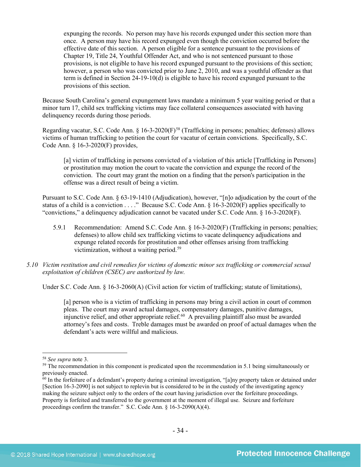expunging the records. No person may have his records expunged under this section more than once. A person may have his record expunged even though the conviction occurred before the effective date of this section. A person eligible for a sentence pursuant to the provisions of Chapter 19, Title 24, Youthful Offender Act, and who is not sentenced pursuant to those provisions, is not eligible to have his record expunged pursuant to the provisions of this section; however, a person who was convicted prior to June 2, 2010, and was a youthful offender as that term is defined in Section 24-19-10(d) is eligible to have his record expunged pursuant to the provisions of this section.

Because South Carolina's general expungement laws mandate a minimum 5 year waiting period or that a minor turn 17, child sex trafficking victims may face collateral consequences associated with having delinquency records during those periods.

Regarding vacatur, S.C. Code Ann. § 16-3-2020(F)<sup>[58](#page-33-0)</sup> (Trafficking in persons; penalties; defenses) allows victims of human trafficking to petition the court for vacatur of certain convictions. Specifically, S.C. Code Ann. § 16-3-2020(F) provides,

[a] victim of trafficking in persons convicted of a violation of this article [Trafficking in Persons] or prostitution may motion the court to vacate the conviction and expunge the record of the conviction. The court may grant the motion on a finding that the person's participation in the offense was a direct result of being a victim.

Pursuant to S.C. Code Ann. § 63-19-1410 (Adjudication), however, "[n]o adjudication by the court of the status of a child is a conviction . . . ." Because S.C. Code Ann. § 16-3-2020(F) applies specifically to "convictions," a delinquency adjudication cannot be vacated under S.C. Code Ann. § 16-3-2020(F).

- 5.9.1 Recommendation: Amend S.C. Code Ann. § 16-3-2020(F) (Trafficking in persons; penalties; defenses) to allow child sex trafficking victims to vacate delinquency adjudications and expunge related records for prostitution and other offenses arising from trafficking victimization, without a waiting period.<sup>[59](#page-33-1)</sup>
- *5.10 Victim restitution and civil remedies for victims of domestic minor sex trafficking or commercial sexual exploitation of children (CSEC) are authorized by law.*

Under S.C. Code Ann. § 16-3-2060(A) (Civil action for victim of trafficking; statute of limitations),

[a] person who is a victim of trafficking in persons may bring a civil action in court of common pleas. The court may award actual damages, compensatory damages, punitive damages, injunctive relief, and other appropriate relief.<sup>60</sup> A prevailing plaintiff also must be awarded attorney's fees and costs. Treble damages must be awarded on proof of actual damages when the defendant's acts were willful and malicious.

l

<span id="page-33-1"></span><span id="page-33-0"></span><sup>&</sup>lt;sup>58</sup> *See supra* note [3.](#page-1-2)<br><sup>59</sup> The recommendation in this component is predicated upon the recommendation in 5.1 being simultaneously or previously enacted.

<span id="page-33-2"></span> $60$  In the forfeiture of a defendant's property during a criminal investigation, "[a]ny property taken or detained under [Section 16-3-2090] is not subject to replevin but is considered to be in the custody of the investigating agency making the seizure subject only to the orders of the court having jurisdiction over the forfeiture proceedings. Property is forfeited and transferred to the government at the moment of illegal use. Seizure and forfeiture proceedings confirm the transfer." S.C. Code Ann. § 16-3-2090(A)(4).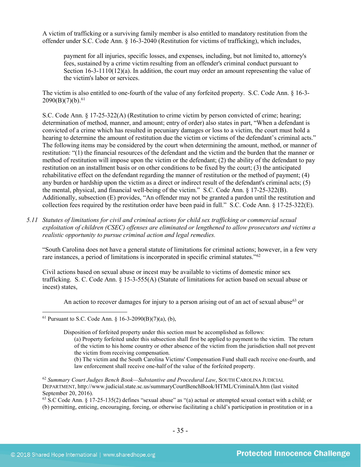A victim of trafficking or a surviving family member is also entitled to mandatory restitution from the offender under S.C. Code Ann. § 16-3-2040 (Restitution for victims of trafficking), which includes,

payment for all injuries, specific losses, and expenses, including, but not limited to, attorney's fees, sustained by a crime victim resulting from an offender's criminal conduct pursuant to Section  $16-3-1110(12)(a)$ . In addition, the court may order an amount representing the value of the victim's labor or services.

The victim is also entitled to one-fourth of the value of any forfeited property. S.C. Code Ann. § 16-3-  $2090(B)(7)(b).<sup>61</sup>$  $2090(B)(7)(b).<sup>61</sup>$  $2090(B)(7)(b).<sup>61</sup>$ 

S.C. Code Ann. § 17-25-322(A) (Restitution to crime victim by person convicted of crime; hearing; determination of method, manner, and amount; entry of order) also states in part, "When a defendant is convicted of a crime which has resulted in pecuniary damages or loss to a victim, the court must hold a hearing to determine the amount of restitution due the victim or victims of the defendant's criminal acts." The following items may be considered by the court when determining the amount, method, or manner of restitution: "(1) the financial resources of the defendant and the victim and the burden that the manner or method of restitution will impose upon the victim or the defendant; (2) the ability of the defendant to pay restitution on an installment basis or on other conditions to be fixed by the court; (3) the anticipated rehabilitative effect on the defendant regarding the manner of restitution or the method of payment; (4) any burden or hardship upon the victim as a direct or indirect result of the defendant's criminal acts; (5) the mental, physical, and financial well-being of the victim." S.C. Code Ann. § 17-25-322(B). Additionally, subsection (E) provides, "An offender may not be granted a pardon until the restitution and collection fees required by the restitution order have been paid in full." S.C. Code Ann. § 17-25-322(E).

*5.11 Statutes of limitations for civil and criminal actions for child sex trafficking or commercial sexual exploitation of children (CSEC) offenses are eliminated or lengthened to allow prosecutors and victims a realistic opportunity to pursue criminal action and legal remedies.* 

"South Carolina does not have a general statute of limitations for criminal actions; however, in a few very rare instances, a period of limitations is incorporated in specific criminal statutes."[62](#page-34-1)

Civil actions based on sexual abuse or incest may be available to victims of domestic minor sex trafficking. S. C. Code Ann. § 15-3-555(A) (Statute of limitations for action based on sexual abuse or incest) states,

An action to recover damages for injury to a person arising out of an act of sexual abuse<sup>[63](#page-34-2)</sup> or

l

- (a) Property forfeited under this subsection shall first be applied to payment to the victim. The return of the victim to his home country or other absence of the victim from the jurisdiction shall not prevent the victim from receiving compensation.
- (b) The victim and the South Carolina Victims' Compensation Fund shall each receive one-fourth, and law enforcement shall receive one-half of the value of the forfeited property.

<span id="page-34-2"></span> $63$  S.C Code Ann. § 17-25-135(2) defines "sexual abuse" as "(a) actual or attempted sexual contact with a child; or (b) permitting, enticing, encouraging, forcing, or otherwise facilitating a child's participation in prostitution or in a

<span id="page-34-0"></span><sup>&</sup>lt;sup>61</sup> Pursuant to S.C. Code Ann. § 16-3-2090(B)(7)(a), (b),

Disposition of forfeited property under this section must be accomplished as follows:

<span id="page-34-1"></span><sup>62</sup> *Summary Court Judges Bench Book—Substantive and Procedural Law*, SOUTH CAROLINA JUDICIAL DEPARTMENT, http://www.judicial.state.sc.us/summaryCourtBenchBook/HTML/CriminalA.htm (last visited September 20, 2016).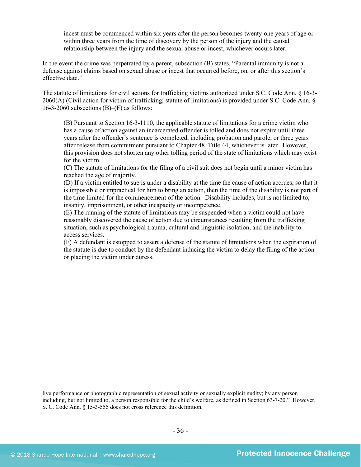incest must be commenced within six years after the person becomes twenty-one years of age or within three years from the time of discovery by the person of the injury and the causal relationship between the injury and the sexual abuse or incest, whichever occurs later.

In the event the crime was perpetrated by a parent, subsection (B) states, "Parental immunity is not a defense against claims based on sexual abuse or incest that occurred before, on, or after this section's effective date."

The statute of limitations for civil actions for trafficking victims authorized under S.C. Code Ann. § 16-3- 2060(A) (Civil action for victim of trafficking; statute of limitations) is provided under S.C. Code Ann. § 16-3-2060 subsections  $(B)$ – $(F)$  as follows:

(B) Pursuant to Section 16-3-1110, the applicable statute of limitations for a crime victim who has a cause of action against an incarcerated offender is tolled and does not expire until three years after the offender's sentence is completed, including probation and parole, or three years after release from commitment pursuant to Chapter 48, Title 44, whichever is later. However, this provision does not shorten any other tolling period of the state of limitations which may exist for the victim.

(C) The statute of limitations for the filing of a civil suit does not begin until a minor victim has reached the age of majority.

(D) If a victim entitled to sue is under a disability at the time the cause of action accrues, so that it is impossible or impractical for him to bring an action, then the time of the disability is not part of the time limited for the commencement of the action. Disability includes, but is not limited to, insanity, imprisonment, or other incapacity or incompetence.

(E) The running of the statute of limitations may be suspended when a victim could not have reasonably discovered the cause of action due to circumstances resulting from the trafficking situation, such as psychological trauma, cultural and linguistic isolation, and the inability to access services.

(F) A defendant is estopped to assert a defense of the statute of limitations when the expiration of the statute is due to conduct by the defendant inducing the victim to delay the filing of the action or placing the victim under duress.

live performance or photographic representation of sexual activity or sexually explicit nudity; by any person including, but not limited to, a person responsible for the child's welfare, as defined in Section 63-7-20." However, S. C. Code Ann. § 15-3-555 does not cross reference this definition.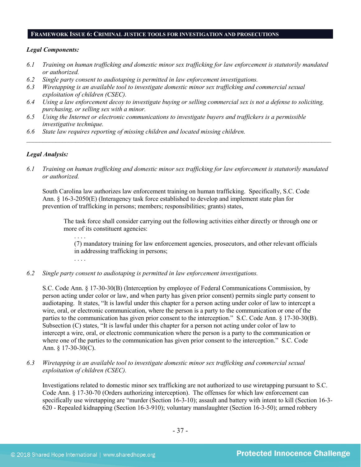#### **FRAMEWORK ISSUE 6: CRIMINAL JUSTICE TOOLS FOR INVESTIGATION AND PROSECUTIONS**

## *Legal Components:*

- *6.1 Training on human trafficking and domestic minor sex trafficking for law enforcement is statutorily mandated or authorized.*
- *6.2 Single party consent to audiotaping is permitted in law enforcement investigations.*
- *6.3 Wiretapping is an available tool to investigate domestic minor sex trafficking and commercial sexual exploitation of children (CSEC).*
- *6.4 Using a law enforcement decoy to investigate buying or selling commercial sex is not a defense to soliciting, purchasing, or selling sex with a minor.*
- *6.5 Using the Internet or electronic communications to investigate buyers and traffickers is a permissible investigative technique.*
- *6.6 State law requires reporting of missing children and located missing children.*

## *Legal Analysis:*

*6.1 Training on human trafficking and domestic minor sex trafficking for law enforcement is statutorily mandated or authorized.*

*\_\_\_\_\_\_\_\_\_\_\_\_\_\_\_\_\_\_\_\_\_\_\_\_\_\_\_\_\_\_\_\_\_\_\_\_\_\_\_\_\_\_\_\_\_\_\_\_\_\_\_\_\_\_\_\_\_\_\_\_\_\_\_\_\_\_\_\_\_\_\_\_\_\_\_\_\_\_\_\_\_\_\_\_\_\_\_\_\_\_\_\_\_\_*

South Carolina law authorizes law enforcement training on human trafficking. Specifically, S.C. Code Ann. § 16-3-2050(E) (Interagency task force established to develop and implement state plan for prevention of trafficking in persons; members; responsibilities; grants) states,

The task force shall consider carrying out the following activities either directly or through one or more of its constituent agencies:

. . . . (7) mandatory training for law enforcement agencies, prosecutors, and other relevant officials in addressing trafficking in persons;

*6.2 Single party consent to audiotaping is permitted in law enforcement investigations.*

S.C. Code Ann. § 17-30-30(B) (Interception by employee of Federal Communications Commission, by person acting under color or law, and when party has given prior consent) permits single party consent to audiotaping. It states, "It is lawful under this chapter for a person acting under color of law to intercept a wire, oral, or electronic communication, where the person is a party to the communication or one of the parties to the communication has given prior consent to the interception." S.C. Code Ann. § 17-30-30(B). Subsection (C) states, "It is lawful under this chapter for a person not acting under color of law to intercept a wire, oral, or electronic communication where the person is a party to the communication or where one of the parties to the communication has given prior consent to the interception." S.C. Code Ann. § 17-30-30(C).

*6.3 Wiretapping is an available tool to investigate domestic minor sex trafficking and commercial sexual exploitation of children (CSEC).* 

Investigations related to domestic minor sex trafficking are not authorized to use wiretapping pursuant to S.C. Code Ann. § 17-30-70 (Orders authorizing interception). The offenses for which law enforcement can specifically use wiretapping are "murder (Section 16-3-10); assault and battery with intent to kill (Section 16-3- 620 - Repealed kidnapping (Section 16-3-910); voluntary manslaughter (Section 16-3-50); armed robbery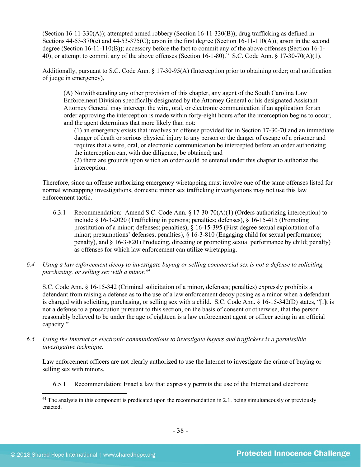(Section 16-11-330(A)); attempted armed robbery (Section 16-11-330(B)); drug trafficking as defined in Sections  $44-53-370(e)$  and  $44-53-375(C)$ ; arson in the first degree (Section 16-11-110(A)); arson in the second degree (Section 16-11-110(B)); accessory before the fact to commit any of the above offenses (Section 16-1- 40); or attempt to commit any of the above offenses (Section 16-1-80)." S.C. Code Ann. § 17-30-70(A)(1).

Additionally, pursuant to S.C. Code Ann. § 17-30-95(A) (Interception prior to obtaining order; oral notification of judge in emergency),

(A) Notwithstanding any other provision of this chapter, any agent of the South Carolina Law Enforcement Division specifically designated by the Attorney General or his designated Assistant Attorney General may intercept the wire, oral, or electronic communication if an application for an order approving the interception is made within forty-eight hours after the interception begins to occur, and the agent determines that more likely than not:

(1) an emergency exists that involves an offense provided for in Section 17-30-70 and an immediate danger of death or serious physical injury to any person or the danger of escape of a prisoner and requires that a wire, oral, or electronic communication be intercepted before an order authorizing the interception can, with due diligence, be obtained; and

(2) there are grounds upon which an order could be entered under this chapter to authorize the interception.

Therefore, since an offense authorizing emergency wiretapping must involve one of the same offenses listed for normal wiretapping investigations, domestic minor sex trafficking investigations may not use this law enforcement tactic.

- 6.3.1 Recommendation: Amend S.C. Code Ann. § 17-30-70(A)(1) (Orders authorizing interception) to include § 16-3-2020 (Trafficking in persons; penalties; defenses), § 16-15-415 (Promoting prostitution of a minor; defenses; penalties), § 16-15-395 (First degree sexual exploitation of a minor; presumptions' defenses; penalties), § 16-3-810 (Engaging child for sexual performance; penalty), and § 16-3-820 (Producing, directing or promoting sexual performance by child; penalty) as offenses for which law enforcement can utilize wiretapping.
- *6.4 Using a law enforcement decoy to investigate buying or selling commercial sex is not a defense to soliciting, purchasing, or selling sex with a minor.[64](#page-37-0)*

S.C. Code Ann. § 16-15-342 (Criminal solicitation of a minor, defenses; penalties) expressly prohibits a defendant from raising a defense as to the use of a law enforcement decoy posing as a minor when a defendant is charged with soliciting, purchasing, or selling sex with a child. S.C. Code Ann. § 16-15-342(D) states, "[i]t is not a defense to a prosecution pursuant to this section, on the basis of consent or otherwise, that the person reasonably believed to be under the age of eighteen is a law enforcement agent or officer acting in an official capacity."

*6.5 Using the Internet or electronic communications to investigate buyers and traffickers is a permissible investigative technique.*

Law enforcement officers are not clearly authorized to use the Internet to investigate the crime of buying or selling sex with minors.

6.5.1 Recommendation: Enact a law that expressly permits the use of the Internet and electronic

<span id="page-37-0"></span>l  $64$  The analysis in this component is predicated upon the recommendation in 2.1. being simultaneously or previously enacted.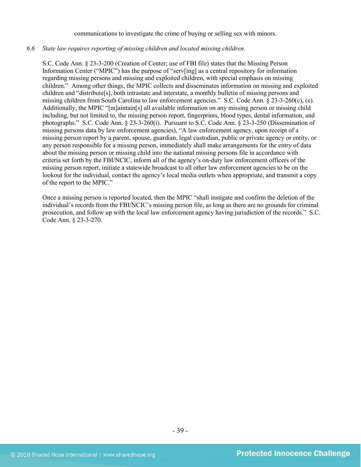#### communications to investigate the crime of buying or selling sex with minors.

#### *6.6 State law requires reporting of missing children and located missing children.*

S.C. Code Ann. § 23-3-200 (Creation of Center; use of FBI file) states that the Missing Person Information Center ("MPIC") has the purpose of "serv[ing] as a central repository for information regarding missing persons and missing and exploited children, with special emphasis on missing children." Among other things, the MPIC collects and disseminates information on missing and exploited children and "distribute[s], both intrastate and interstate, a monthly bulletin of missing persons and missing children from South Carolina to law enforcement agencies." S.C. Code Ann. § 23-3-260(c), (e). Additionally, the MPIC "[m]aintain[s] all available information on any missing person or missing child including, but not limited to, the missing person report, fingerprints, blood types, dental information, and photographs." S.C. Code Ann. § 23-3-260(i). Pursuant to S.C. Code Ann. § 23-3-250 (Dissemination of missing persons data by law enforcement agencies), "A law enforcement agency, upon receipt of a missing person report by a parent, spouse, guardian, legal custodian, public or private agency or entity, or any person responsible for a missing person, immediately shall make arrangements for the entry of data about the missing person or missing child into the national missing persons file in accordance with criteria set forth by the FBI/NCIC, inform all of the agency's on-duty law enforcement officers of the missing person report, initiate a statewide broadcast to all other law enforcement agencies to be on the lookout for the individual, contact the agency's local media outlets when appropriate, and transmit a copy of the report to the MPIC."

Once a missing person is reported located, then the MPIC "shall instigate and confirm the deletion of the individual's records from the FBI/NCIC's missing person file, as long as there are no grounds for criminal prosecution, and follow up with the local law enforcement agency having jurisdiction of the records." S.C. Code Ann. § 23-3-270.